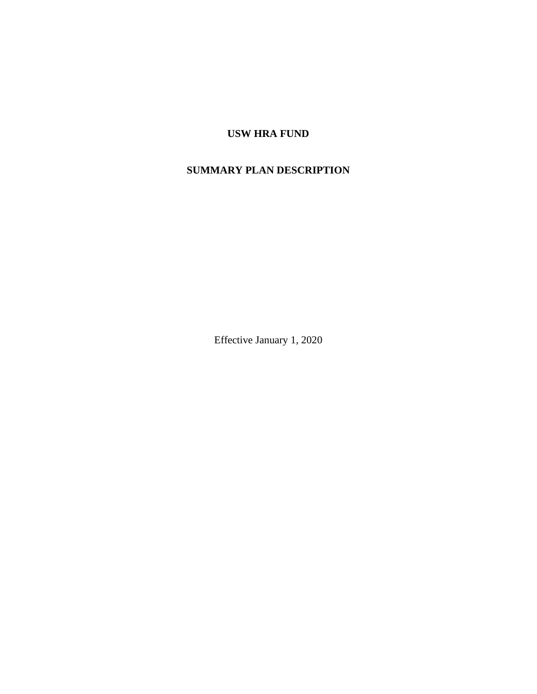# **USW HRA FUND**

# **SUMMARY PLAN DESCRIPTION**

Effective January 1, 2020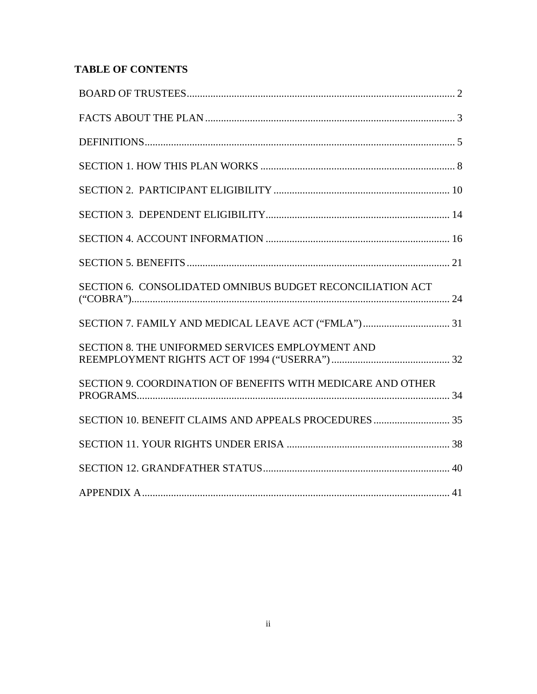# **TABLE OF CONTENTS**

| SECTION 6. CONSOLIDATED OMNIBUS BUDGET RECONCILIATION ACT   |  |
|-------------------------------------------------------------|--|
|                                                             |  |
| SECTION 8. THE UNIFORMED SERVICES EMPLOYMENT AND            |  |
| SECTION 9. COORDINATION OF BENEFITS WITH MEDICARE AND OTHER |  |
|                                                             |  |
|                                                             |  |
|                                                             |  |
|                                                             |  |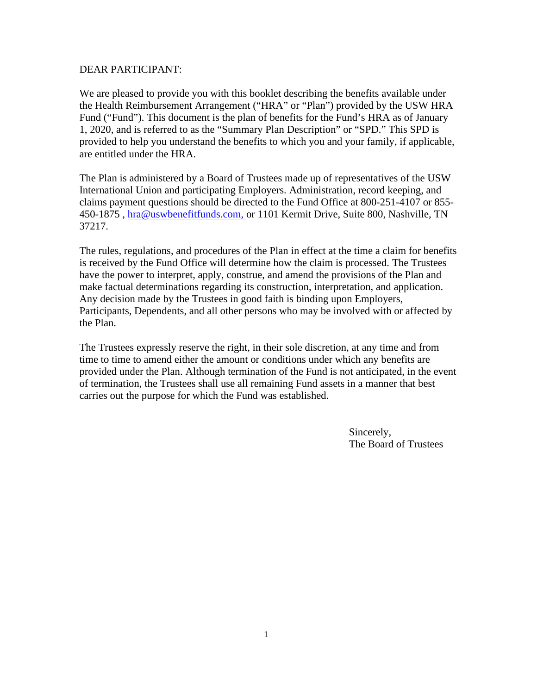#### DEAR PARTICIPANT:

We are pleased to provide you with this booklet describing the benefits available under the Health Reimbursement Arrangement ("HRA" or "Plan") provided by the USW HRA Fund ("Fund"). This document is the plan of benefits for the Fund's HRA as of January 1, 2020, and is referred to as the "Summary Plan Description" or "SPD." This SPD is provided to help you understand the benefits to which you and your family, if applicable, are entitled under the HRA.

The Plan is administered by a Board of Trustees made up of representatives of the USW International Union and participating Employers. Administration, record keeping, and claims payment questions should be directed to the Fund Office at 800-251-4107 or 855- 450-1875 , hra@uswbenefitfunds.com, or 1101 Kermit Drive, Suite 800, Nashville, TN 37217.

The rules, regulations, and procedures of the Plan in effect at the time a claim for benefits is received by the Fund Office will determine how the claim is processed. The Trustees have the power to interpret, apply, construe, and amend the provisions of the Plan and make factual determinations regarding its construction, interpretation, and application. Any decision made by the Trustees in good faith is binding upon Employers, Participants, Dependents, and all other persons who may be involved with or affected by the Plan.

The Trustees expressly reserve the right, in their sole discretion, at any time and from time to time to amend either the amount or conditions under which any benefits are provided under the Plan. Although termination of the Fund is not anticipated, in the event of termination, the Trustees shall use all remaining Fund assets in a manner that best carries out the purpose for which the Fund was established.

> Sincerely, The Board of Trustees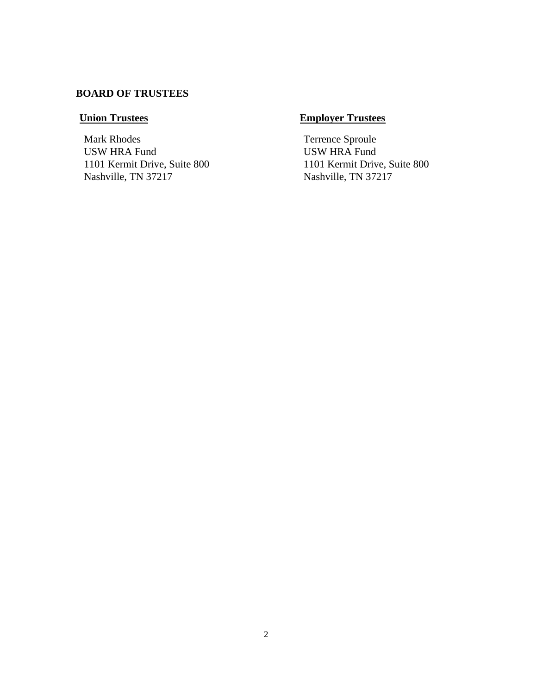# **BOARD OF TRUSTEES**

Mark Rhodes USW HRA Fund 1101 Kermit Drive, Suite 800 Nashville, TN 37217

# **Union Trustees Employer Trustees**

Terrence Sproule USW HRA Fund 1101 Kermit Drive, Suite 800 Nashville, TN 37217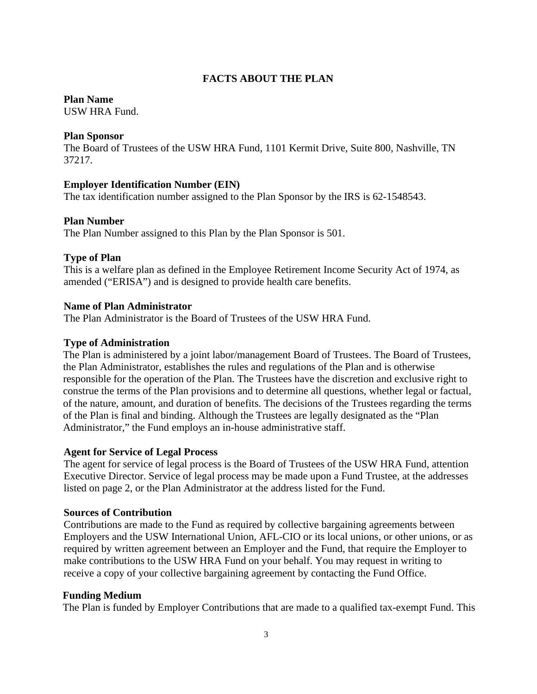## **FACTS ABOUT THE PLAN**

#### **Plan Name**

USW HRA Fund.

#### **Plan Sponsor**

The Board of Trustees of the USW HRA Fund, 1101 Kermit Drive, Suite 800, Nashville, TN 37217.

## **Employer Identification Number (EIN)**

The tax identification number assigned to the Plan Sponsor by the IRS is 62-1548543.

#### **Plan Number**

The Plan Number assigned to this Plan by the Plan Sponsor is 501.

## **Type of Plan**

This is a welfare plan as defined in the Employee Retirement Income Security Act of 1974, as amended ("ERISA") and is designed to provide health care benefits.

## **Name of Plan Administrator**

The Plan Administrator is the Board of Trustees of the USW HRA Fund.

#### **Type of Administration**

The Plan is administered by a joint labor/management Board of Trustees. The Board of Trustees, the Plan Administrator, establishes the rules and regulations of the Plan and is otherwise responsible for the operation of the Plan. The Trustees have the discretion and exclusive right to construe the terms of the Plan provisions and to determine all questions, whether legal or factual, of the nature, amount, and duration of benefits. The decisions of the Trustees regarding the terms of the Plan is final and binding. Although the Trustees are legally designated as the "Plan Administrator," the Fund employs an in-house administrative staff.

#### **Agent for Service of Legal Process**

The agent for service of legal process is the Board of Trustees of the USW HRA Fund, attention Executive Director. Service of legal process may be made upon a Fund Trustee, at the addresses listed on page 2, or the Plan Administrator at the address listed for the Fund.

#### **Sources of Contribution**

Contributions are made to the Fund as required by collective bargaining agreements between Employers and the USW International Union, AFL-CIO or its local unions, or other unions, or as required by written agreement between an Employer and the Fund, that require the Employer to make contributions to the USW HRA Fund on your behalf. You may request in writing to receive a copy of your collective bargaining agreement by contacting the Fund Office.

#### **Funding Medium**

The Plan is funded by Employer Contributions that are made to a qualified tax-exempt Fund. This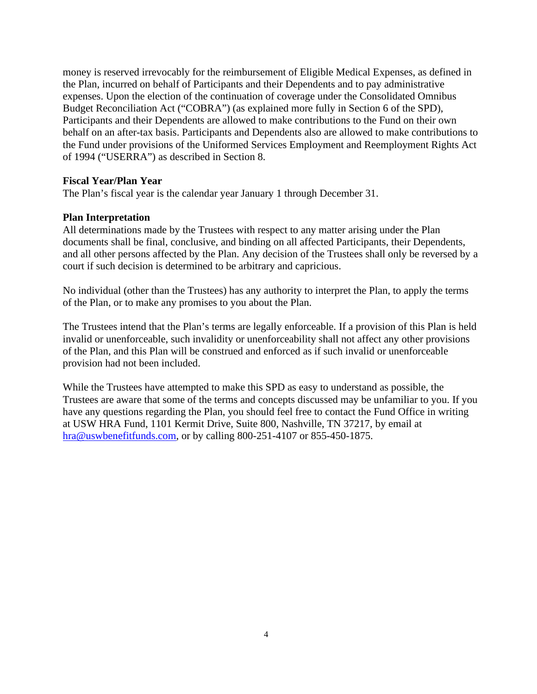money is reserved irrevocably for the reimbursement of Eligible Medical Expenses, as defined in the Plan, incurred on behalf of Participants and their Dependents and to pay administrative expenses. Upon the election of the continuation of coverage under the Consolidated Omnibus Budget Reconciliation Act ("COBRA") (as explained more fully in Section 6 of the SPD), Participants and their Dependents are allowed to make contributions to the Fund on their own behalf on an after-tax basis. Participants and Dependents also are allowed to make contributions to the Fund under provisions of the Uniformed Services Employment and Reemployment Rights Act of 1994 ("USERRA") as described in Section 8.

## **Fiscal Year/Plan Year**

The Plan's fiscal year is the calendar year January 1 through December 31.

#### **Plan Interpretation**

All determinations made by the Trustees with respect to any matter arising under the Plan documents shall be final, conclusive, and binding on all affected Participants, their Dependents, and all other persons affected by the Plan. Any decision of the Trustees shall only be reversed by a court if such decision is determined to be arbitrary and capricious.

No individual (other than the Trustees) has any authority to interpret the Plan, to apply the terms of the Plan, or to make any promises to you about the Plan.

The Trustees intend that the Plan's terms are legally enforceable. If a provision of this Plan is held invalid or unenforceable, such invalidity or unenforceability shall not affect any other provisions of the Plan, and this Plan will be construed and enforced as if such invalid or unenforceable provision had not been included.

While the Trustees have attempted to make this SPD as easy to understand as possible, the Trustees are aware that some of the terms and concepts discussed may be unfamiliar to you. If you have any questions regarding the Plan, you should feel free to contact the Fund Office in writing at USW HRA Fund, 1101 Kermit Drive, Suite 800, Nashville, TN 37217, by email at [hra@uswbenefitfunds.com,](mailto:hra@uswbenefitfunds.com) or by calling 800-251-4107 or 855-450-1875.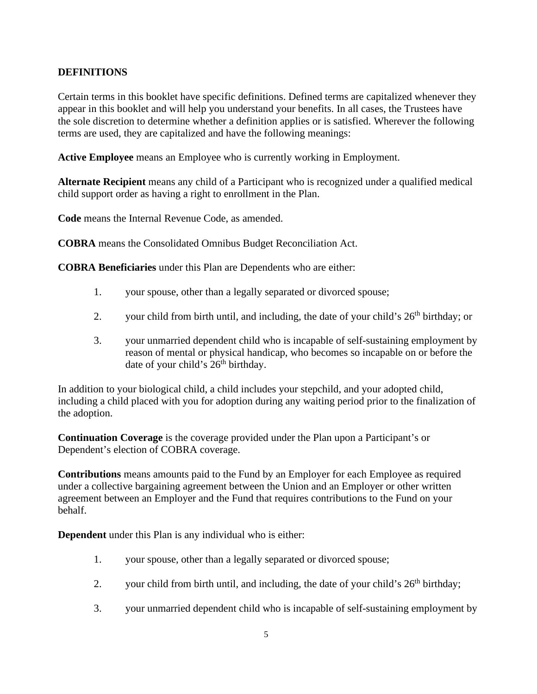## **DEFINITIONS**

Certain terms in this booklet have specific definitions. Defined terms are capitalized whenever they appear in this booklet and will help you understand your benefits. In all cases, the Trustees have the sole discretion to determine whether a definition applies or is satisfied. Wherever the following terms are used, they are capitalized and have the following meanings:

**Active Employee** means an Employee who is currently working in Employment.

**Alternate Recipient** means any child of a Participant who is recognized under a qualified medical child support order as having a right to enrollment in the Plan.

**Code** means the Internal Revenue Code, as amended.

**COBRA** means the Consolidated Omnibus Budget Reconciliation Act.

**COBRA Beneficiaries** under this Plan are Dependents who are either:

- 1. your spouse, other than a legally separated or divorced spouse;
- 2. your child from birth until, and including, the date of your child's  $26<sup>th</sup>$  birthday; or
- 3. your unmarried dependent child who is incapable of self-sustaining employment by reason of mental or physical handicap, who becomes so incapable on or before the date of your child's  $26<sup>th</sup>$  birthday.

In addition to your biological child, a child includes your stepchild, and your adopted child, including a child placed with you for adoption during any waiting period prior to the finalization of the adoption.

**Continuation Coverage** is the coverage provided under the Plan upon a Participant's or Dependent's election of COBRA coverage.

**Contributions** means amounts paid to the Fund by an Employer for each Employee as required under a collective bargaining agreement between the Union and an Employer or other written agreement between an Employer and the Fund that requires contributions to the Fund on your behalf.

**Dependent** under this Plan is any individual who is either:

- 1. your spouse, other than a legally separated or divorced spouse;
- 2. your child from birth until, and including, the date of your child's  $26<sup>th</sup>$  birthday;
- 3. your unmarried dependent child who is incapable of self-sustaining employment by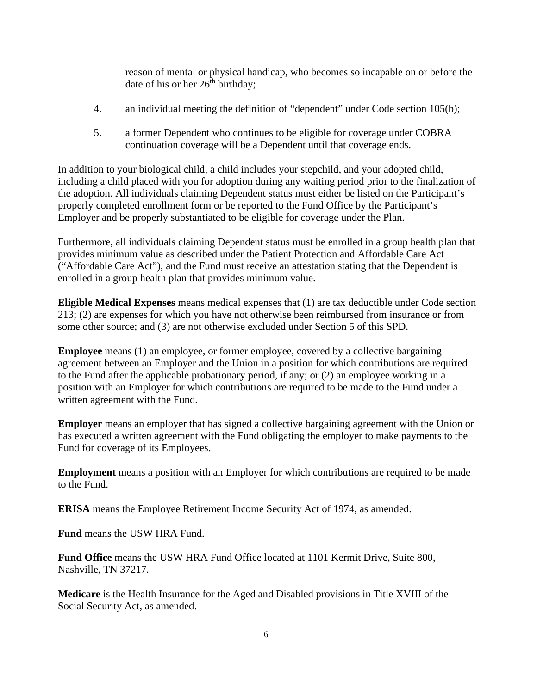reason of mental or physical handicap, who becomes so incapable on or before the date of his or her  $26^{th}$  birthday;

- 4. an individual meeting the definition of "dependent" under Code section 105(b);
- 5. a former Dependent who continues to be eligible for coverage under COBRA continuation coverage will be a Dependent until that coverage ends.

In addition to your biological child, a child includes your stepchild, and your adopted child, including a child placed with you for adoption during any waiting period prior to the finalization of the adoption. All individuals claiming Dependent status must either be listed on the Participant's properly completed enrollment form or be reported to the Fund Office by the Participant's Employer and be properly substantiated to be eligible for coverage under the Plan.

Furthermore, all individuals claiming Dependent status must be enrolled in a group health plan that provides minimum value as described under the Patient Protection and Affordable Care Act ("Affordable Care Act"), and the Fund must receive an attestation stating that the Dependent is enrolled in a group health plan that provides minimum value.

**Eligible Medical Expenses** means medical expenses that (1) are tax deductible under Code section 213; (2) are expenses for which you have not otherwise been reimbursed from insurance or from some other source; and (3) are not otherwise excluded under Section 5 of this SPD.

**Employee** means (1) an employee, or former employee, covered by a collective bargaining agreement between an Employer and the Union in a position for which contributions are required to the Fund after the applicable probationary period, if any; or (2) an employee working in a position with an Employer for which contributions are required to be made to the Fund under a written agreement with the Fund.

**Employer** means an employer that has signed a collective bargaining agreement with the Union or has executed a written agreement with the Fund obligating the employer to make payments to the Fund for coverage of its Employees.

**Employment** means a position with an Employer for which contributions are required to be made to the Fund.

**ERISA** means the Employee Retirement Income Security Act of 1974, as amended.

**Fund** means the USW HRA Fund.

**Fund Office** means the USW HRA Fund Office located at 1101 Kermit Drive, Suite 800, Nashville, TN 37217.

**Medicare** is the Health Insurance for the Aged and Disabled provisions in Title XVIII of the Social Security Act, as amended.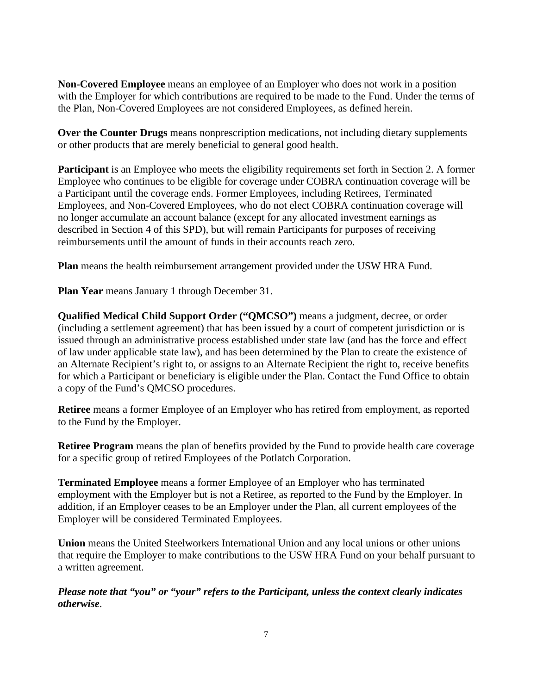**Non-Covered Employee** means an employee of an Employer who does not work in a position with the Employer for which contributions are required to be made to the Fund. Under the terms of the Plan, Non-Covered Employees are not considered Employees, as defined herein.

**Over the Counter Drugs** means nonprescription medications, not including dietary supplements or other products that are merely beneficial to general good health.

**Participant** is an Employee who meets the eligibility requirements set forth in Section 2. A former Employee who continues to be eligible for coverage under COBRA continuation coverage will be a Participant until the coverage ends. Former Employees, including Retirees, Terminated Employees, and Non-Covered Employees, who do not elect COBRA continuation coverage will no longer accumulate an account balance (except for any allocated investment earnings as described in Section 4 of this SPD), but will remain Participants for purposes of receiving reimbursements until the amount of funds in their accounts reach zero.

**Plan** means the health reimbursement arrangement provided under the USW HRA Fund.

**Plan Year** means January 1 through December 31.

**Qualified Medical Child Support Order ("QMCSO")** means a judgment, decree, or order (including a settlement agreement) that has been issued by a court of competent jurisdiction or is issued through an administrative process established under state law (and has the force and effect of law under applicable state law), and has been determined by the Plan to create the existence of an Alternate Recipient's right to, or assigns to an Alternate Recipient the right to, receive benefits for which a Participant or beneficiary is eligible under the Plan. Contact the Fund Office to obtain a copy of the Fund's QMCSO procedures.

**Retiree** means a former Employee of an Employer who has retired from employment, as reported to the Fund by the Employer.

**Retiree Program** means the plan of benefits provided by the Fund to provide health care coverage for a specific group of retired Employees of the Potlatch Corporation.

**Terminated Employee** means a former Employee of an Employer who has terminated employment with the Employer but is not a Retiree, as reported to the Fund by the Employer. In addition, if an Employer ceases to be an Employer under the Plan, all current employees of the Employer will be considered Terminated Employees.

**Union** means the United Steelworkers International Union and any local unions or other unions that require the Employer to make contributions to the USW HRA Fund on your behalf pursuant to a written agreement.

*Please note that "you" or "your" refers to the Participant, unless the context clearly indicates otherwise*.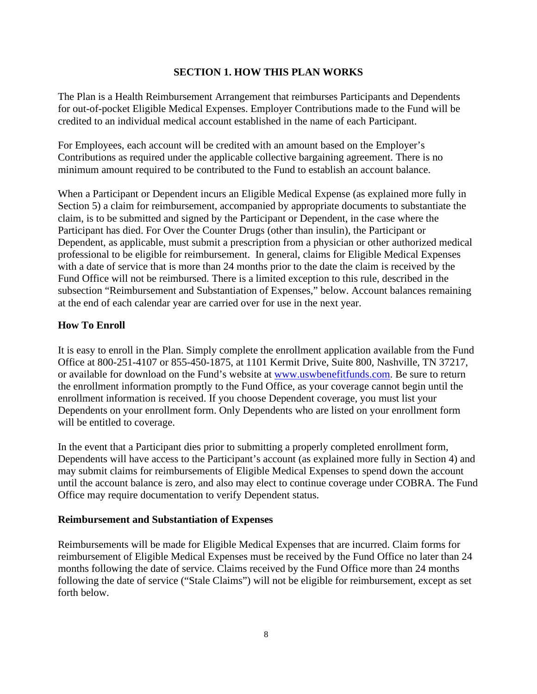## **SECTION 1. HOW THIS PLAN WORKS**

The Plan is a Health Reimbursement Arrangement that reimburses Participants and Dependents for out-of-pocket Eligible Medical Expenses. Employer Contributions made to the Fund will be credited to an individual medical account established in the name of each Participant.

For Employees, each account will be credited with an amount based on the Employer's Contributions as required under the applicable collective bargaining agreement. There is no minimum amount required to be contributed to the Fund to establish an account balance.

When a Participant or Dependent incurs an Eligible Medical Expense (as explained more fully in Section 5) a claim for reimbursement, accompanied by appropriate documents to substantiate the claim, is to be submitted and signed by the Participant or Dependent, in the case where the Participant has died. For Over the Counter Drugs (other than insulin), the Participant or Dependent, as applicable, must submit a prescription from a physician or other authorized medical professional to be eligible for reimbursement. In general, claims for Eligible Medical Expenses with a date of service that is more than 24 months prior to the date the claim is received by the Fund Office will not be reimbursed. There is a limited exception to this rule, described in the subsection "Reimbursement and Substantiation of Expenses," below. Account balances remaining at the end of each calendar year are carried over for use in the next year.

## **How To Enroll**

It is easy to enroll in the Plan. Simply complete the enrollment application available from the Fund Office at 800-251-4107 or 855-450-1875, at 1101 Kermit Drive, Suite 800, Nashville, TN 37217, or available for download on the Fund's website at [www.uswbenefitfunds.com.](http://www.uswbenefitfunds.com/) Be sure to return the enrollment information promptly to the Fund Office, as your coverage cannot begin until the enrollment information is received. If you choose Dependent coverage, you must list your Dependents on your enrollment form. Only Dependents who are listed on your enrollment form will be entitled to coverage.

In the event that a Participant dies prior to submitting a properly completed enrollment form, Dependents will have access to the Participant's account (as explained more fully in Section 4) and may submit claims for reimbursements of Eligible Medical Expenses to spend down the account until the account balance is zero, and also may elect to continue coverage under COBRA. The Fund Office may require documentation to verify Dependent status.

#### **Reimbursement and Substantiation of Expenses**

Reimbursements will be made for Eligible Medical Expenses that are incurred. Claim forms for reimbursement of Eligible Medical Expenses must be received by the Fund Office no later than 24 months following the date of service. Claims received by the Fund Office more than 24 months following the date of service ("Stale Claims") will not be eligible for reimbursement, except as set forth below.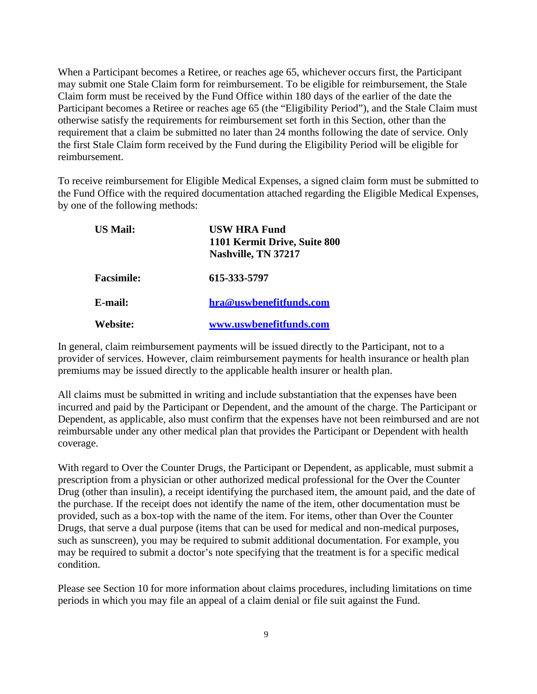When a Participant becomes a Retiree, or reaches age 65, whichever occurs first, the Participant may submit one Stale Claim form for reimbursement. To be eligible for reimbursement, the Stale Claim form must be received by the Fund Office within 180 days of the earlier of the date the Participant becomes a Retiree or reaches age 65 (the "Eligibility Period"), and the Stale Claim must otherwise satisfy the requirements for reimbursement set forth in this Section, other than the requirement that a claim be submitted no later than 24 months following the date of service. Only the first Stale Claim form received by the Fund during the Eligibility Period will be eligible for reimbursement.

To receive reimbursement for Eligible Medical Expenses, a signed claim form must be submitted to the Fund Office with the required documentation attached regarding the Eligible Medical Expenses, by one of the following methods:

| <b>US Mail:</b>   | <b>USW HRA Fund</b><br>1101 Kermit Drive, Suite 800<br>Nashville, TN 37217 |
|-------------------|----------------------------------------------------------------------------|
| <b>Facsimile:</b> | 615-333-5797                                                               |
| E-mail:           | hra@uswbenefitfunds.com                                                    |
| Website:          | www.uswbenefitfunds.com                                                    |

In general, claim reimbursement payments will be issued directly to the Participant, not to a provider of services. However, claim reimbursement payments for health insurance or health plan premiums may be issued directly to the applicable health insurer or health plan.

All claims must be submitted in writing and include substantiation that the expenses have been incurred and paid by the Participant or Dependent, and the amount of the charge. The Participant or Dependent, as applicable, also must confirm that the expenses have not been reimbursed and are not reimbursable under any other medical plan that provides the Participant or Dependent with health coverage.

With regard to Over the Counter Drugs, the Participant or Dependent, as applicable, must submit a prescription from a physician or other authorized medical professional for the Over the Counter Drug (other than insulin), a receipt identifying the purchased item, the amount paid, and the date of the purchase. If the receipt does not identify the name of the item, other documentation must be provided, such as a box-top with the name of the item. For items, other than Over the Counter Drugs, that serve a dual purpose (items that can be used for medical and non-medical purposes, such as sunscreen), you may be required to submit additional documentation. For example, you may be required to submit a doctor's note specifying that the treatment is for a specific medical condition.

Please see Section 10 for more information about claims procedures, including limitations on time periods in which you may file an appeal of a claim denial or file suit against the Fund.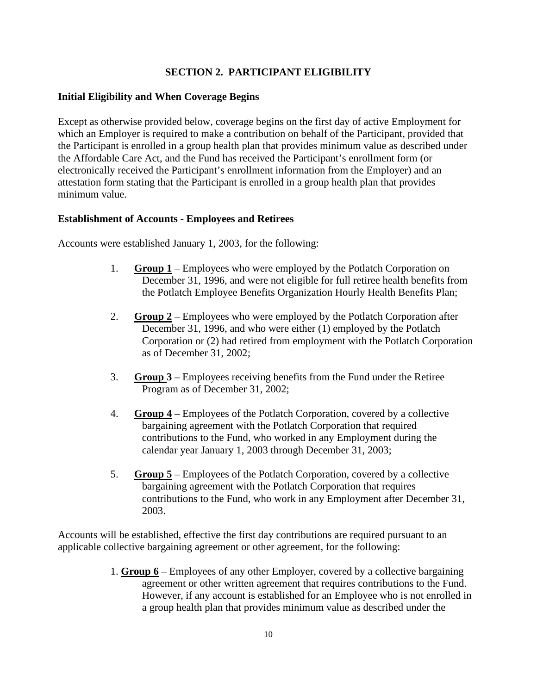## **SECTION 2. PARTICIPANT ELIGIBILITY**

#### **Initial Eligibility and When Coverage Begins**

Except as otherwise provided below, coverage begins on the first day of active Employment for which an Employer is required to make a contribution on behalf of the Participant, provided that the Participant is enrolled in a group health plan that provides minimum value as described under the Affordable Care Act, and the Fund has received the Participant's enrollment form (or electronically received the Participant's enrollment information from the Employer) and an attestation form stating that the Participant is enrolled in a group health plan that provides minimum value.

#### **Establishment of Accounts - Employees and Retirees**

Accounts were established January 1, 2003, for the following:

- 1. **Group 1** Employees who were employed by the Potlatch Corporation on December 31, 1996, and were not eligible for full retiree health benefits from the Potlatch Employee Benefits Organization Hourly Health Benefits Plan;
- 2. **Group 2** Employees who were employed by the Potlatch Corporation after December 31, 1996, and who were either (1) employed by the Potlatch Corporation or (2) had retired from employment with the Potlatch Corporation as of December 31, 2002;
- 3. **Group 3** Employees receiving benefits from the Fund under the Retiree Program as of December 31, 2002;
- 4. **Group 4** Employees of the Potlatch Corporation, covered by a collective bargaining agreement with the Potlatch Corporation that required contributions to the Fund, who worked in any Employment during the calendar year January 1, 2003 through December 31, 2003;
- 5. **Group 5** Employees of the Potlatch Corporation, covered by a collective bargaining agreement with the Potlatch Corporation that requires contributions to the Fund, who work in any Employment after December 31, 2003.

Accounts will be established, effective the first day contributions are required pursuant to an applicable collective bargaining agreement or other agreement, for the following:

> 1. **Group 6** – Employees of any other Employer, covered by a collective bargaining agreement or other written agreement that requires contributions to the Fund. However, if any account is established for an Employee who is not enrolled in a group health plan that provides minimum value as described under the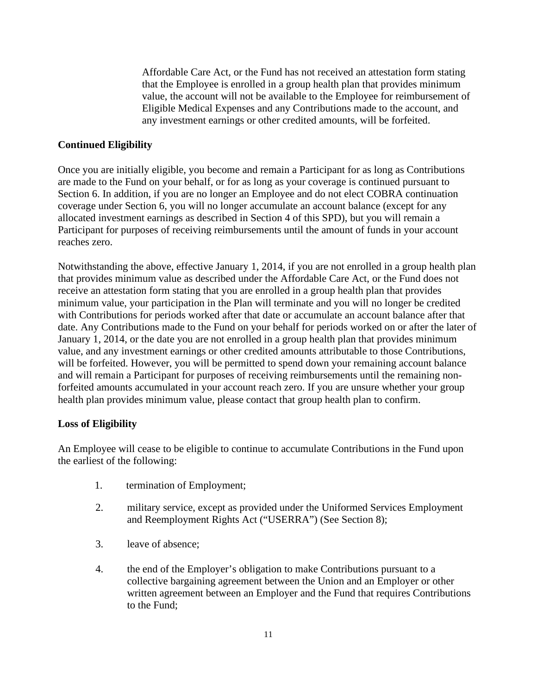Affordable Care Act, or the Fund has not received an attestation form stating that the Employee is enrolled in a group health plan that provides minimum value, the account will not be available to the Employee for reimbursement of Eligible Medical Expenses and any Contributions made to the account, and any investment earnings or other credited amounts, will be forfeited.

## **Continued Eligibility**

Once you are initially eligible, you become and remain a Participant for as long as Contributions are made to the Fund on your behalf, or for as long as your coverage is continued pursuant to Section 6. In addition, if you are no longer an Employee and do not elect COBRA continuation coverage under Section 6, you will no longer accumulate an account balance (except for any allocated investment earnings as described in Section 4 of this SPD), but you will remain a Participant for purposes of receiving reimbursements until the amount of funds in your account reaches zero.

Notwithstanding the above, effective January 1, 2014, if you are not enrolled in a group health plan that provides minimum value as described under the Affordable Care Act, or the Fund does not receive an attestation form stating that you are enrolled in a group health plan that provides minimum value, your participation in the Plan will terminate and you will no longer be credited with Contributions for periods worked after that date or accumulate an account balance after that date. Any Contributions made to the Fund on your behalf for periods worked on or after the later of January 1, 2014, or the date you are not enrolled in a group health plan that provides minimum value, and any investment earnings or other credited amounts attributable to those Contributions, will be forfeited. However, you will be permitted to spend down your remaining account balance and will remain a Participant for purposes of receiving reimbursements until the remaining nonforfeited amounts accumulated in your account reach zero. If you are unsure whether your group health plan provides minimum value, please contact that group health plan to confirm.

## **Loss of Eligibility**

An Employee will cease to be eligible to continue to accumulate Contributions in the Fund upon the earliest of the following:

- 1. termination of Employment;
- 2. military service, except as provided under the Uniformed Services Employment and Reemployment Rights Act ("USERRA") (See Section 8);
- 3. leave of absence;
- 4. the end of the Employer's obligation to make Contributions pursuant to a collective bargaining agreement between the Union and an Employer or other written agreement between an Employer and the Fund that requires Contributions to the Fund;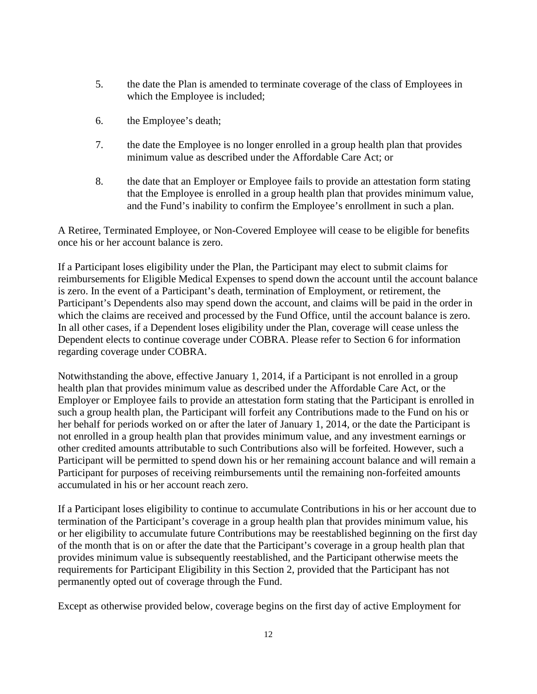- 5. the date the Plan is amended to terminate coverage of the class of Employees in which the Employee is included;
- 6. the Employee's death;
- 7. the date the Employee is no longer enrolled in a group health plan that provides minimum value as described under the Affordable Care Act; or
- 8. the date that an Employer or Employee fails to provide an attestation form stating that the Employee is enrolled in a group health plan that provides minimum value, and the Fund's inability to confirm the Employee's enrollment in such a plan.

A Retiree, Terminated Employee, or Non-Covered Employee will cease to be eligible for benefits once his or her account balance is zero.

If a Participant loses eligibility under the Plan, the Participant may elect to submit claims for reimbursements for Eligible Medical Expenses to spend down the account until the account balance is zero. In the event of a Participant's death, termination of Employment, or retirement, the Participant's Dependents also may spend down the account, and claims will be paid in the order in which the claims are received and processed by the Fund Office, until the account balance is zero. In all other cases, if a Dependent loses eligibility under the Plan, coverage will cease unless the Dependent elects to continue coverage under COBRA. Please refer to Section 6 for information regarding coverage under COBRA.

Notwithstanding the above, effective January 1, 2014, if a Participant is not enrolled in a group health plan that provides minimum value as described under the Affordable Care Act, or the Employer or Employee fails to provide an attestation form stating that the Participant is enrolled in such a group health plan, the Participant will forfeit any Contributions made to the Fund on his or her behalf for periods worked on or after the later of January 1, 2014, or the date the Participant is not enrolled in a group health plan that provides minimum value, and any investment earnings or other credited amounts attributable to such Contributions also will be forfeited. However, such a Participant will be permitted to spend down his or her remaining account balance and will remain a Participant for purposes of receiving reimbursements until the remaining non-forfeited amounts accumulated in his or her account reach zero.

If a Participant loses eligibility to continue to accumulate Contributions in his or her account due to termination of the Participant's coverage in a group health plan that provides minimum value, his or her eligibility to accumulate future Contributions may be reestablished beginning on the first day of the month that is on or after the date that the Participant's coverage in a group health plan that provides minimum value is subsequently reestablished, and the Participant otherwise meets the requirements for Participant Eligibility in this Section 2, provided that the Participant has not permanently opted out of coverage through the Fund.

Except as otherwise provided below, coverage begins on the first day of active Employment for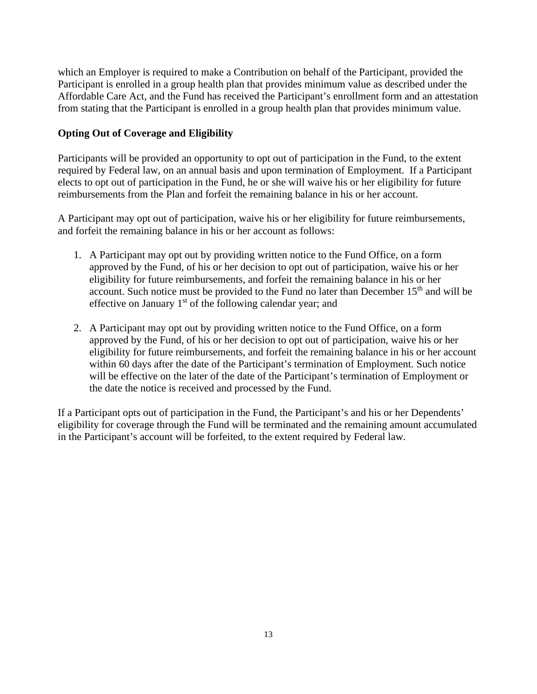which an Employer is required to make a Contribution on behalf of the Participant, provided the Participant is enrolled in a group health plan that provides minimum value as described under the Affordable Care Act, and the Fund has received the Participant's enrollment form and an attestation from stating that the Participant is enrolled in a group health plan that provides minimum value.

## **Opting Out of Coverage and Eligibility**

Participants will be provided an opportunity to opt out of participation in the Fund, to the extent required by Federal law, on an annual basis and upon termination of Employment. If a Participant elects to opt out of participation in the Fund, he or she will waive his or her eligibility for future reimbursements from the Plan and forfeit the remaining balance in his or her account.

A Participant may opt out of participation, waive his or her eligibility for future reimbursements, and forfeit the remaining balance in his or her account as follows:

- 1. A Participant may opt out by providing written notice to the Fund Office, on a form approved by the Fund, of his or her decision to opt out of participation, waive his or her eligibility for future reimbursements, and forfeit the remaining balance in his or her account. Such notice must be provided to the Fund no later than December  $15<sup>th</sup>$  and will be effective on January  $1<sup>st</sup>$  of the following calendar year; and
- 2. A Participant may opt out by providing written notice to the Fund Office, on a form approved by the Fund, of his or her decision to opt out of participation, waive his or her eligibility for future reimbursements, and forfeit the remaining balance in his or her account within 60 days after the date of the Participant's termination of Employment. Such notice will be effective on the later of the date of the Participant's termination of Employment or the date the notice is received and processed by the Fund.

If a Participant opts out of participation in the Fund, the Participant's and his or her Dependents' eligibility for coverage through the Fund will be terminated and the remaining amount accumulated in the Participant's account will be forfeited, to the extent required by Federal law.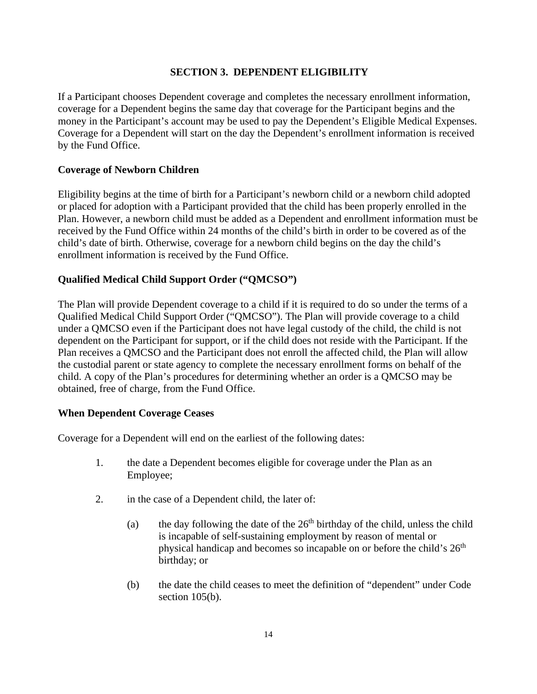## **SECTION 3. DEPENDENT ELIGIBILITY**

If a Participant chooses Dependent coverage and completes the necessary enrollment information, coverage for a Dependent begins the same day that coverage for the Participant begins and the money in the Participant's account may be used to pay the Dependent's Eligible Medical Expenses. Coverage for a Dependent will start on the day the Dependent's enrollment information is received by the Fund Office.

## **Coverage of Newborn Children**

Eligibility begins at the time of birth for a Participant's newborn child or a newborn child adopted or placed for adoption with a Participant provided that the child has been properly enrolled in the Plan. However, a newborn child must be added as a Dependent and enrollment information must be received by the Fund Office within 24 months of the child's birth in order to be covered as of the child's date of birth. Otherwise, coverage for a newborn child begins on the day the child's enrollment information is received by the Fund Office.

#### **Qualified Medical Child Support Order ("QMCSO")**

The Plan will provide Dependent coverage to a child if it is required to do so under the terms of a Qualified Medical Child Support Order ("QMCSO"). The Plan will provide coverage to a child under a QMCSO even if the Participant does not have legal custody of the child, the child is not dependent on the Participant for support, or if the child does not reside with the Participant. If the Plan receives a QMCSO and the Participant does not enroll the affected child, the Plan will allow the custodial parent or state agency to complete the necessary enrollment forms on behalf of the child. A copy of the Plan's procedures for determining whether an order is a QMCSO may be obtained, free of charge, from the Fund Office.

#### **When Dependent Coverage Ceases**

Coverage for a Dependent will end on the earliest of the following dates:

- 1. the date a Dependent becomes eligible for coverage under the Plan as an Employee;
- 2. in the case of a Dependent child, the later of:
	- (a) the day following the date of the  $26<sup>th</sup>$  birthday of the child, unless the child is incapable of self-sustaining employment by reason of mental or physical handicap and becomes so incapable on or before the child's  $26<sup>th</sup>$ birthday; or
	- (b) the date the child ceases to meet the definition of "dependent" under Code section 105(b).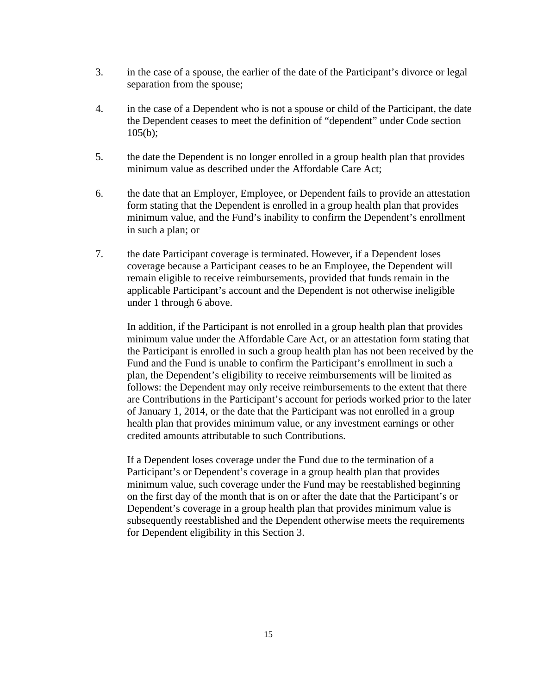- 3. in the case of a spouse, the earlier of the date of the Participant's divorce or legal separation from the spouse;
- 4. in the case of a Dependent who is not a spouse or child of the Participant, the date the Dependent ceases to meet the definition of "dependent" under Code section  $105(b);$
- 5. the date the Dependent is no longer enrolled in a group health plan that provides minimum value as described under the Affordable Care Act;
- 6. the date that an Employer, Employee, or Dependent fails to provide an attestation form stating that the Dependent is enrolled in a group health plan that provides minimum value, and the Fund's inability to confirm the Dependent's enrollment in such a plan; or
- 7. the date Participant coverage is terminated. However, if a Dependent loses coverage because a Participant ceases to be an Employee, the Dependent will remain eligible to receive reimbursements, provided that funds remain in the applicable Participant's account and the Dependent is not otherwise ineligible under 1 through 6 above.

In addition, if the Participant is not enrolled in a group health plan that provides minimum value under the Affordable Care Act, or an attestation form stating that the Participant is enrolled in such a group health plan has not been received by the Fund and the Fund is unable to confirm the Participant's enrollment in such a plan, the Dependent's eligibility to receive reimbursements will be limited as follows: the Dependent may only receive reimbursements to the extent that there are Contributions in the Participant's account for periods worked prior to the later of January 1, 2014, or the date that the Participant was not enrolled in a group health plan that provides minimum value, or any investment earnings or other credited amounts attributable to such Contributions.

If a Dependent loses coverage under the Fund due to the termination of a Participant's or Dependent's coverage in a group health plan that provides minimum value, such coverage under the Fund may be reestablished beginning on the first day of the month that is on or after the date that the Participant's or Dependent's coverage in a group health plan that provides minimum value is subsequently reestablished and the Dependent otherwise meets the requirements for Dependent eligibility in this Section 3.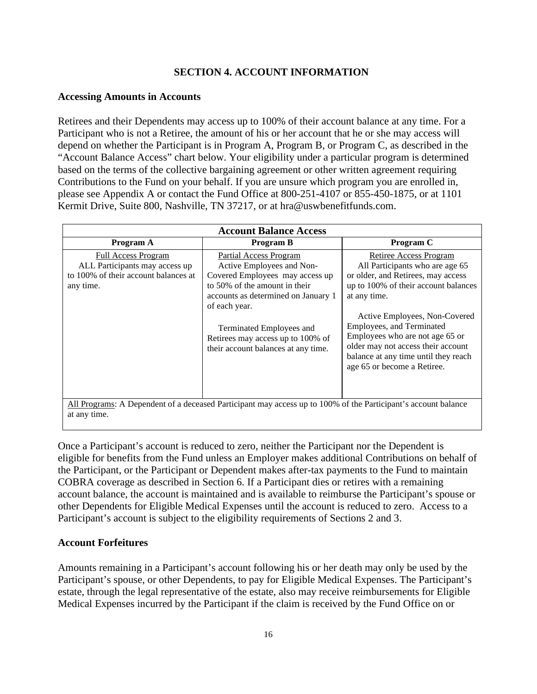## **SECTION 4. ACCOUNT INFORMATION**

#### **Accessing Amounts in Accounts**

Retirees and their Dependents may access up to 100% of their account balance at any time. For a Participant who is not a Retiree, the amount of his or her account that he or she may access will depend on whether the Participant is in Program A, Program B, or Program C, as described in the "Account Balance Access" chart below. Your eligibility under a particular program is determined based on the terms of the collective bargaining agreement or other written agreement requiring Contributions to the Fund on your behalf. If you are unsure which program you are enrolled in, please see Appendix A or contact the Fund Office at 800-251-4107 or 855-450-1875, or at 1101 Kermit Drive, Suite 800, Nashville, TN 37217, or at hra@uswbenefitfunds.com.

| <b>Account Balance Access</b>                                                                                     |                                                                                                                                                                                                                                                                                                |                                                                                                                                                                                                                                                                                                                                                                              |  |
|-------------------------------------------------------------------------------------------------------------------|------------------------------------------------------------------------------------------------------------------------------------------------------------------------------------------------------------------------------------------------------------------------------------------------|------------------------------------------------------------------------------------------------------------------------------------------------------------------------------------------------------------------------------------------------------------------------------------------------------------------------------------------------------------------------------|--|
| Program A                                                                                                         | <b>Program B</b>                                                                                                                                                                                                                                                                               | Program C                                                                                                                                                                                                                                                                                                                                                                    |  |
| <b>Full Access Program</b><br>ALL Participants may access up<br>to 100% of their account balances at<br>any time. | <b>Partial Access Program</b><br>Active Employees and Non-<br>Covered Employees may access up<br>to 50% of the amount in their<br>accounts as determined on January 1<br>of each year.<br>Terminated Employees and<br>Retirees may access up to 100% of<br>their account balances at any time. | <b>Retiree Access Program</b><br>All Participants who are age 65<br>or older, and Retirees, may access<br>up to 100% of their account balances<br>at any time.<br>Active Employees, Non-Covered<br>Employees, and Terminated<br>Employees who are not age 65 or<br>older may not access their account<br>balance at any time until they reach<br>age 65 or become a Retiree. |  |
| at any time.                                                                                                      | All Programs: A Dependent of a deceased Participant may access up to 100% of the Participant's account balance                                                                                                                                                                                 |                                                                                                                                                                                                                                                                                                                                                                              |  |

Once a Participant's account is reduced to zero, neither the Participant nor the Dependent is eligible for benefits from the Fund unless an Employer makes additional Contributions on behalf of the Participant, or the Participant or Dependent makes after-tax payments to the Fund to maintain COBRA coverage as described in Section 6. If a Participant dies or retires with a remaining account balance, the account is maintained and is available to reimburse the Participant's spouse or other Dependents for Eligible Medical Expenses until the account is reduced to zero. Access to a Participant's account is subject to the eligibility requirements of Sections 2 and 3.

## **Account Forfeitures**

Amounts remaining in a Participant's account following his or her death may only be used by the Participant's spouse, or other Dependents, to pay for Eligible Medical Expenses. The Participant's estate, through the legal representative of the estate, also may receive reimbursements for Eligible Medical Expenses incurred by the Participant if the claim is received by the Fund Office on or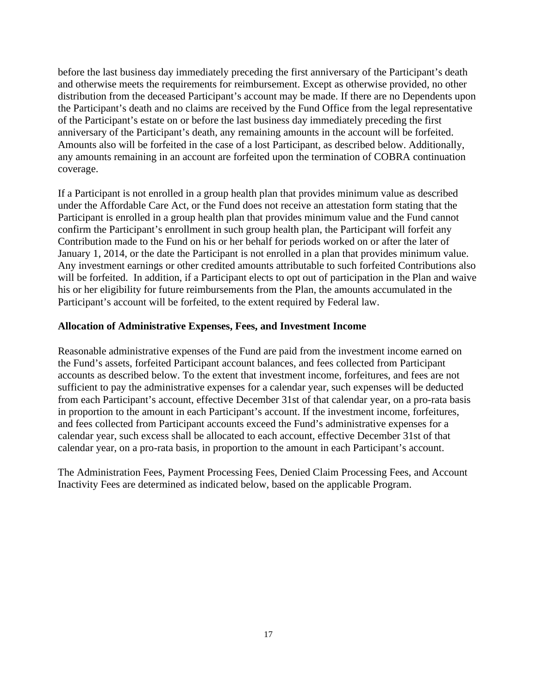before the last business day immediately preceding the first anniversary of the Participant's death and otherwise meets the requirements for reimbursement. Except as otherwise provided, no other distribution from the deceased Participant's account may be made. If there are no Dependents upon the Participant's death and no claims are received by the Fund Office from the legal representative of the Participant's estate on or before the last business day immediately preceding the first anniversary of the Participant's death, any remaining amounts in the account will be forfeited. Amounts also will be forfeited in the case of a lost Participant, as described below. Additionally, any amounts remaining in an account are forfeited upon the termination of COBRA continuation coverage.

If a Participant is not enrolled in a group health plan that provides minimum value as described under the Affordable Care Act, or the Fund does not receive an attestation form stating that the Participant is enrolled in a group health plan that provides minimum value and the Fund cannot confirm the Participant's enrollment in such group health plan, the Participant will forfeit any Contribution made to the Fund on his or her behalf for periods worked on or after the later of January 1, 2014, or the date the Participant is not enrolled in a plan that provides minimum value. Any investment earnings or other credited amounts attributable to such forfeited Contributions also will be forfeited. In addition, if a Participant elects to opt out of participation in the Plan and waive his or her eligibility for future reimbursements from the Plan, the amounts accumulated in the Participant's account will be forfeited, to the extent required by Federal law.

#### **Allocation of Administrative Expenses, Fees, and Investment Income**

Reasonable administrative expenses of the Fund are paid from the investment income earned on the Fund's assets, forfeited Participant account balances, and fees collected from Participant accounts as described below. To the extent that investment income, forfeitures, and fees are not sufficient to pay the administrative expenses for a calendar year, such expenses will be deducted from each Participant's account, effective December 31st of that calendar year, on a pro-rata basis in proportion to the amount in each Participant's account. If the investment income, forfeitures, and fees collected from Participant accounts exceed the Fund's administrative expenses for a calendar year, such excess shall be allocated to each account, effective December 31st of that calendar year, on a pro-rata basis, in proportion to the amount in each Participant's account.

The Administration Fees, Payment Processing Fees, Denied Claim Processing Fees, and Account Inactivity Fees are determined as indicated below, based on the applicable Program.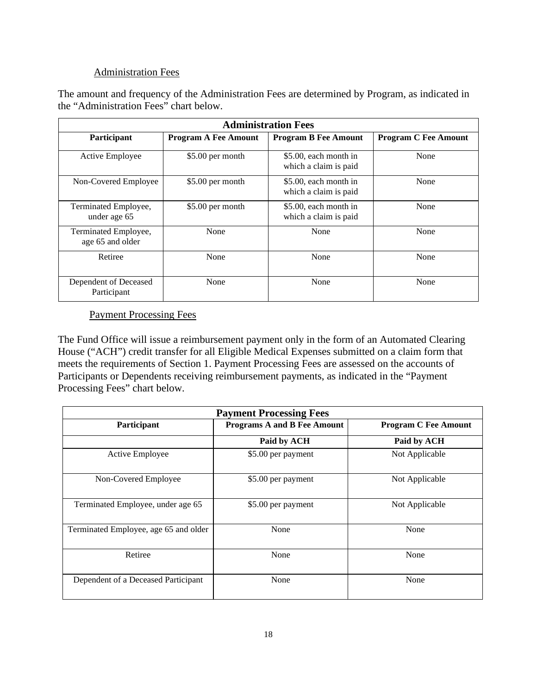## Administration Fees

The amount and frequency of the Administration Fees are determined by Program, as indicated in the "Administration Fees" chart below.

| <b>Administration Fees</b>               |                             |                                                |                             |
|------------------------------------------|-----------------------------|------------------------------------------------|-----------------------------|
| Participant                              | <b>Program A Fee Amount</b> | <b>Program B Fee Amount</b>                    | <b>Program C Fee Amount</b> |
| Active Employee                          | \$5.00 per month            | \$5.00, each month in<br>which a claim is paid | None                        |
| Non-Covered Employee                     | \$5.00 per month            | \$5.00, each month in<br>which a claim is paid | None                        |
| Terminated Employee,<br>under age 65     | \$5.00 per month            | \$5.00, each month in<br>which a claim is paid | None                        |
| Terminated Employee,<br>age 65 and older | None                        | None                                           | None                        |
| Retiree                                  | None                        | None                                           | None                        |
| Dependent of Deceased<br>Participant     | None                        | None                                           | None                        |

## Payment Processing Fees

The Fund Office will issue a reimbursement payment only in the form of an Automated Clearing House ("ACH") credit transfer for all Eligible Medical Expenses submitted on a claim form that meets the requirements of Section 1. Payment Processing Fees are assessed on the accounts of Participants or Dependents receiving reimbursement payments, as indicated in the "Payment Processing Fees" chart below.

| <b>Payment Processing Fees</b>        |                                    |                             |  |
|---------------------------------------|------------------------------------|-----------------------------|--|
| Participant                           | <b>Programs A and B Fee Amount</b> | <b>Program C Fee Amount</b> |  |
|                                       | Paid by ACH                        | Paid by ACH                 |  |
| Active Employee                       | \$5.00 per payment                 | Not Applicable              |  |
| Non-Covered Employee                  | \$5.00 per payment                 | Not Applicable              |  |
| Terminated Employee, under age 65     | \$5.00 per payment                 | Not Applicable              |  |
| Terminated Employee, age 65 and older | None                               | None                        |  |
| Retiree                               | None                               | None                        |  |
| Dependent of a Deceased Participant   | None                               | None                        |  |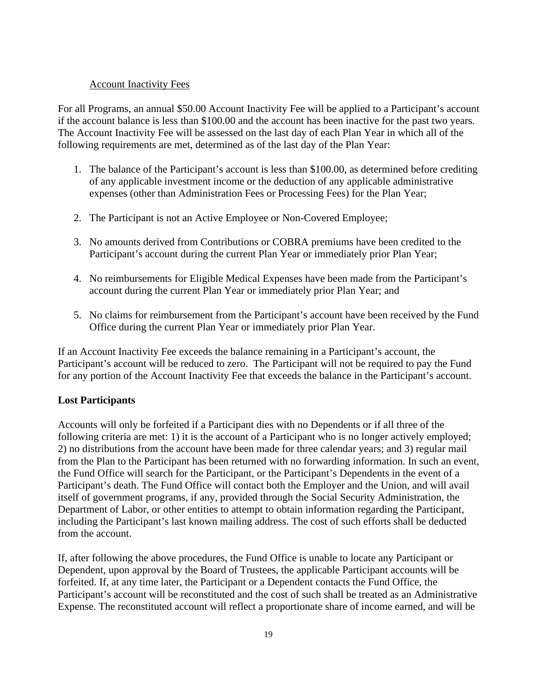#### Account Inactivity Fees

For all Programs, an annual \$50.00 Account Inactivity Fee will be applied to a Participant's account if the account balance is less than \$100.00 and the account has been inactive for the past two years. The Account Inactivity Fee will be assessed on the last day of each Plan Year in which all of the following requirements are met, determined as of the last day of the Plan Year:

- 1. The balance of the Participant's account is less than \$100.00, as determined before crediting of any applicable investment income or the deduction of any applicable administrative expenses (other than Administration Fees or Processing Fees) for the Plan Year;
- 2. The Participant is not an Active Employee or Non-Covered Employee;
- 3. No amounts derived from Contributions or COBRA premiums have been credited to the Participant's account during the current Plan Year or immediately prior Plan Year;
- 4. No reimbursements for Eligible Medical Expenses have been made from the Participant's account during the current Plan Year or immediately prior Plan Year; and
- 5. No claims for reimbursement from the Participant's account have been received by the Fund Office during the current Plan Year or immediately prior Plan Year.

If an Account Inactivity Fee exceeds the balance remaining in a Participant's account, the Participant's account will be reduced to zero. The Participant will not be required to pay the Fund for any portion of the Account Inactivity Fee that exceeds the balance in the Participant's account.

## **Lost Participants**

Accounts will only be forfeited if a Participant dies with no Dependents or if all three of the following criteria are met: 1) it is the account of a Participant who is no longer actively employed; 2) no distributions from the account have been made for three calendar years; and 3) regular mail from the Plan to the Participant has been returned with no forwarding information. In such an event, the Fund Office will search for the Participant, or the Participant's Dependents in the event of a Participant's death. The Fund Office will contact both the Employer and the Union, and will avail itself of government programs, if any, provided through the Social Security Administration, the Department of Labor, or other entities to attempt to obtain information regarding the Participant, including the Participant's last known mailing address. The cost of such efforts shall be deducted from the account.

If, after following the above procedures, the Fund Office is unable to locate any Participant or Dependent, upon approval by the Board of Trustees, the applicable Participant accounts will be forfeited. If, at any time later, the Participant or a Dependent contacts the Fund Office, the Participant's account will be reconstituted and the cost of such shall be treated as an Administrative Expense. The reconstituted account will reflect a proportionate share of income earned, and will be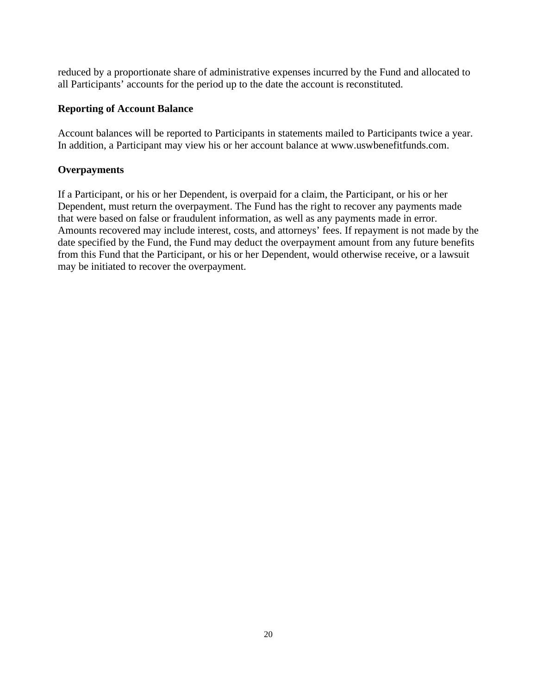reduced by a proportionate share of administrative expenses incurred by the Fund and allocated to all Participants' accounts for the period up to the date the account is reconstituted.

## **Reporting of Account Balance**

Account balances will be reported to Participants in statements mailed to Participants twice a year. In addition, a Participant may view his or her account balance at [www.uswbenefitfunds.com.](http://www.uswbenefitfunds.com/)

## **Overpayments**

If a Participant, or his or her Dependent, is overpaid for a claim, the Participant, or his or her Dependent, must return the overpayment. The Fund has the right to recover any payments made that were based on false or fraudulent information, as well as any payments made in error. Amounts recovered may include interest, costs, and attorneys' fees. If repayment is not made by the date specified by the Fund, the Fund may deduct the overpayment amount from any future benefits from this Fund that the Participant, or his or her Dependent, would otherwise receive, or a lawsuit may be initiated to recover the overpayment.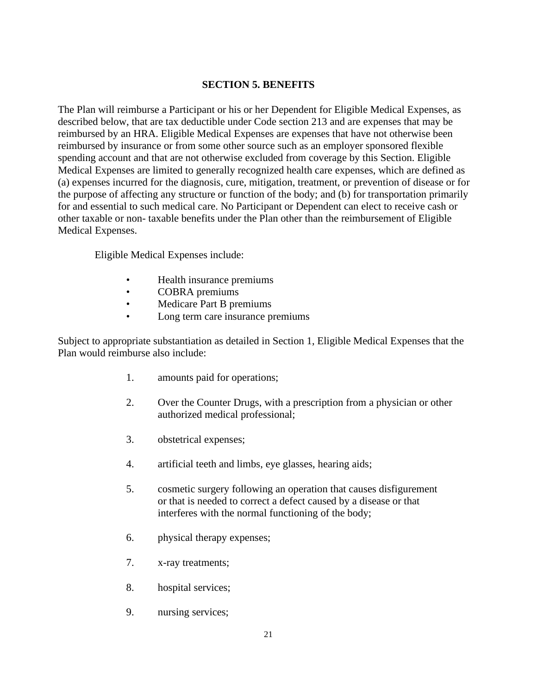## **SECTION 5. BENEFITS**

The Plan will reimburse a Participant or his or her Dependent for Eligible Medical Expenses, as described below, that are tax deductible under Code section 213 and are expenses that may be reimbursed by an HRA. Eligible Medical Expenses are expenses that have not otherwise been reimbursed by insurance or from some other source such as an employer sponsored flexible spending account and that are not otherwise excluded from coverage by this Section. Eligible Medical Expenses are limited to generally recognized health care expenses, which are defined as (a) expenses incurred for the diagnosis, cure, mitigation, treatment, or prevention of disease or for the purpose of affecting any structure or function of the body; and (b) for transportation primarily for and essential to such medical care. No Participant or Dependent can elect to receive cash or other taxable or non- taxable benefits under the Plan other than the reimbursement of Eligible Medical Expenses.

Eligible Medical Expenses include:

- Health insurance premiums
- COBRA premiums<br>• Medicare Part B pre
- Medicare Part B premiums
- Long term care insurance premiums

Subject to appropriate substantiation as detailed in Section 1, Eligible Medical Expenses that the Plan would reimburse also include:

- 1. amounts paid for operations;
- 2. Over the Counter Drugs, with a prescription from a physician or other authorized medical professional;
- 3. obstetrical expenses;
- 4. artificial teeth and limbs, eye glasses, hearing aids;
- 5. cosmetic surgery following an operation that causes disfigurement or that is needed to correct a defect caused by a disease or that interferes with the normal functioning of the body;
- 6. physical therapy expenses;
- 7. x-ray treatments;
- 8. hospital services;
- 9. nursing services;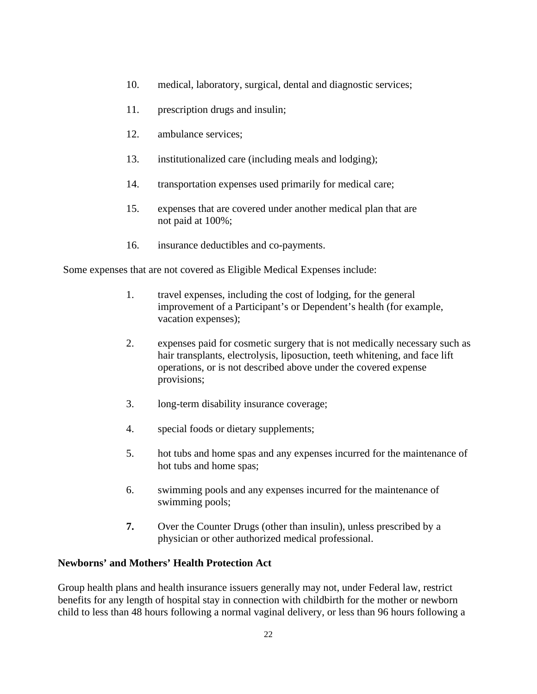- 10. medical, laboratory, surgical, dental and diagnostic services;
- 11. prescription drugs and insulin;
- 12. ambulance services;
- 13. institutionalized care (including meals and lodging);
- 14. transportation expenses used primarily for medical care;
- 15. expenses that are covered under another medical plan that are not paid at 100%;
- 16. insurance deductibles and co-payments.

Some expenses that are not covered as Eligible Medical Expenses include:

- 1. travel expenses, including the cost of lodging, for the general improvement of a Participant's or Dependent's health (for example, vacation expenses);
- 2. expenses paid for cosmetic surgery that is not medically necessary such as hair transplants, electrolysis, liposuction, teeth whitening, and face lift operations, or is not described above under the covered expense provisions;
- 3. long-term disability insurance coverage;
- 4. special foods or dietary supplements;
- 5. hot tubs and home spas and any expenses incurred for the maintenance of hot tubs and home spas;
- 6. swimming pools and any expenses incurred for the maintenance of swimming pools;
- **7.** Over the Counter Drugs (other than insulin), unless prescribed by a physician or other authorized medical professional.

## **Newborns' and Mothers' Health Protection Act**

Group health plans and health insurance issuers generally may not, under Federal law, restrict benefits for any length of hospital stay in connection with childbirth for the mother or newborn child to less than 48 hours following a normal vaginal delivery, or less than 96 hours following a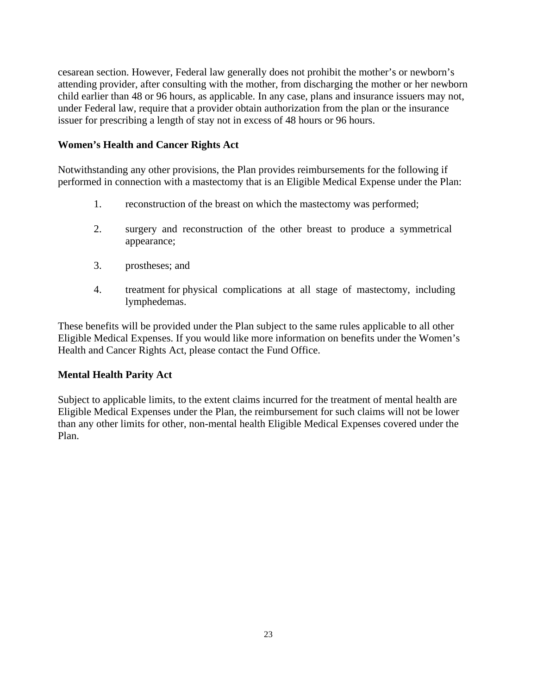cesarean section. However, Federal law generally does not prohibit the mother's or newborn's attending provider, after consulting with the mother, from discharging the mother or her newborn child earlier than 48 or 96 hours, as applicable. In any case, plans and insurance issuers may not, under Federal law, require that a provider obtain authorization from the plan or the insurance issuer for prescribing a length of stay not in excess of 48 hours or 96 hours.

#### **Women's Health and Cancer Rights Act**

Notwithstanding any other provisions, the Plan provides reimbursements for the following if performed in connection with a mastectomy that is an Eligible Medical Expense under the Plan:

- 1. reconstruction of the breast on which the mastectomy was performed;
- 2. surgery and reconstruction of the other breast to produce a symmetrical appearance;
- 3. prostheses; and
- 4. treatment for physical complications at all stage of mastectomy, including lymphedemas.

These benefits will be provided under the Plan subject to the same rules applicable to all other Eligible Medical Expenses. If you would like more information on benefits under the Women's Health and Cancer Rights Act, please contact the Fund Office.

## **Mental Health Parity Act**

Subject to applicable limits, to the extent claims incurred for the treatment of mental health are Eligible Medical Expenses under the Plan, the reimbursement for such claims will not be lower than any other limits for other, non-mental health Eligible Medical Expenses covered under the Plan.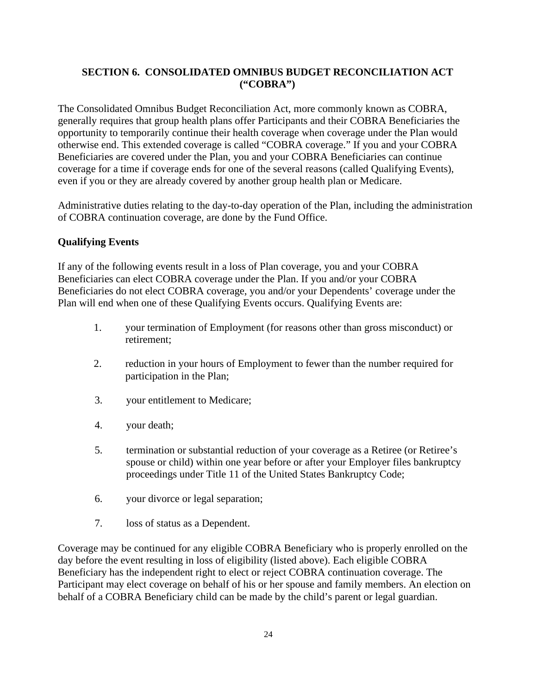## **SECTION 6. CONSOLIDATED OMNIBUS BUDGET RECONCILIATION ACT ("COBRA")**

The Consolidated Omnibus Budget Reconciliation Act, more commonly known as COBRA, generally requires that group health plans offer Participants and their COBRA Beneficiaries the opportunity to temporarily continue their health coverage when coverage under the Plan would otherwise end. This extended coverage is called "COBRA coverage." If you and your COBRA Beneficiaries are covered under the Plan, you and your COBRA Beneficiaries can continue coverage for a time if coverage ends for one of the several reasons (called Qualifying Events), even if you or they are already covered by another group health plan or Medicare.

Administrative duties relating to the day-to-day operation of the Plan, including the administration of COBRA continuation coverage, are done by the Fund Office.

## **Qualifying Events**

If any of the following events result in a loss of Plan coverage, you and your COBRA Beneficiaries can elect COBRA coverage under the Plan. If you and/or your COBRA Beneficiaries do not elect COBRA coverage, you and/or your Dependents' coverage under the Plan will end when one of these Qualifying Events occurs. Qualifying Events are:

- 1. your termination of Employment (for reasons other than gross misconduct) or retirement;
- 2. reduction in your hours of Employment to fewer than the number required for participation in the Plan;
- 3. your entitlement to Medicare;
- 4. your death;
- 5. termination or substantial reduction of your coverage as a Retiree (or Retiree's spouse or child) within one year before or after your Employer files bankruptcy proceedings under Title 11 of the United States Bankruptcy Code;
- 6. your divorce or legal separation;
- 7. loss of status as a Dependent.

Coverage may be continued for any eligible COBRA Beneficiary who is properly enrolled on the day before the event resulting in loss of eligibility (listed above). Each eligible COBRA Beneficiary has the independent right to elect or reject COBRA continuation coverage. The Participant may elect coverage on behalf of his or her spouse and family members. An election on behalf of a COBRA Beneficiary child can be made by the child's parent or legal guardian.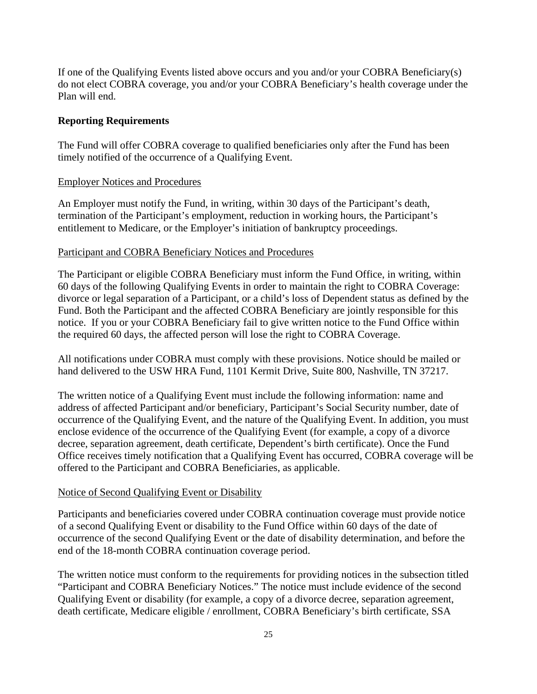If one of the Qualifying Events listed above occurs and you and/or your COBRA Beneficiary(s) do not elect COBRA coverage, you and/or your COBRA Beneficiary's health coverage under the Plan will end.

#### **Reporting Requirements**

The Fund will offer COBRA coverage to qualified beneficiaries only after the Fund has been timely notified of the occurrence of a Qualifying Event.

#### Employer Notices and Procedures

An Employer must notify the Fund, in writing, within 30 days of the Participant's death, termination of the Participant's employment, reduction in working hours, the Participant's entitlement to Medicare, or the Employer's initiation of bankruptcy proceedings.

#### Participant and COBRA Beneficiary Notices and Procedures

The Participant or eligible COBRA Beneficiary must inform the Fund Office, in writing, within 60 days of the following Qualifying Events in order to maintain the right to COBRA Coverage: divorce or legal separation of a Participant, or a child's loss of Dependent status as defined by the Fund. Both the Participant and the affected COBRA Beneficiary are jointly responsible for this notice. If you or your COBRA Beneficiary fail to give written notice to the Fund Office within the required 60 days, the affected person will lose the right to COBRA Coverage.

All notifications under COBRA must comply with these provisions. Notice should be mailed or hand delivered to the USW HRA Fund, 1101 Kermit Drive, Suite 800, Nashville, TN 37217.

The written notice of a Qualifying Event must include the following information: name and address of affected Participant and/or beneficiary, Participant's Social Security number, date of occurrence of the Qualifying Event, and the nature of the Qualifying Event. In addition, you must enclose evidence of the occurrence of the Qualifying Event (for example, a copy of a divorce decree, separation agreement, death certificate, Dependent's birth certificate). Once the Fund Office receives timely notification that a Qualifying Event has occurred, COBRA coverage will be offered to the Participant and COBRA Beneficiaries, as applicable.

#### Notice of Second Qualifying Event or Disability

Participants and beneficiaries covered under COBRA continuation coverage must provide notice of a second Qualifying Event or disability to the Fund Office within 60 days of the date of occurrence of the second Qualifying Event or the date of disability determination, and before the end of the 18-month COBRA continuation coverage period.

The written notice must conform to the requirements for providing notices in the subsection titled "Participant and COBRA Beneficiary Notices." The notice must include evidence of the second Qualifying Event or disability (for example, a copy of a divorce decree, separation agreement, death certificate, Medicare eligible / enrollment, COBRA Beneficiary's birth certificate, SSA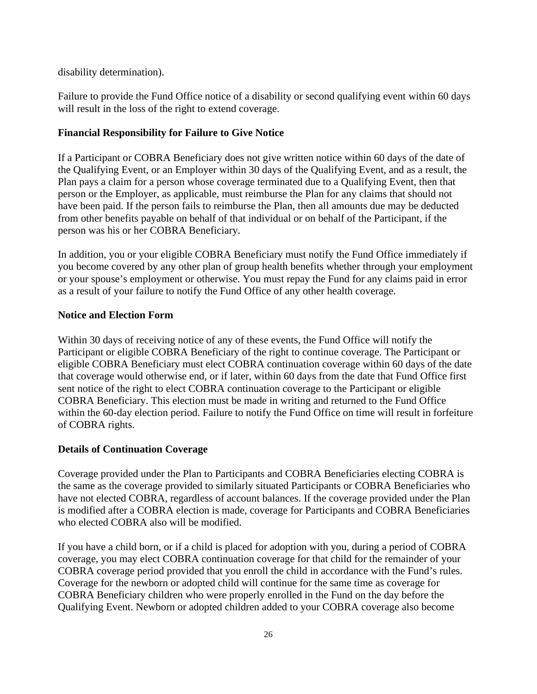disability determination).

Failure to provide the Fund Office notice of a disability or second qualifying event within 60 days will result in the loss of the right to extend coverage.

## **Financial Responsibility for Failure to Give Notice**

If a Participant or COBRA Beneficiary does not give written notice within 60 days of the date of the Qualifying Event, or an Employer within 30 days of the Qualifying Event, and as a result, the Plan pays a claim for a person whose coverage terminated due to a Qualifying Event, then that person or the Employer, as applicable, must reimburse the Plan for any claims that should not have been paid. If the person fails to reimburse the Plan, then all amounts due may be deducted from other benefits payable on behalf of that individual or on behalf of the Participant, if the person was his or her COBRA Beneficiary.

In addition, you or your eligible COBRA Beneficiary must notify the Fund Office immediately if you become covered by any other plan of group health benefits whether through your employment or your spouse's employment or otherwise. You must repay the Fund for any claims paid in error as a result of your failure to notify the Fund Office of any other health coverage.

## **Notice and Election Form**

Within 30 days of receiving notice of any of these events, the Fund Office will notify the Participant or eligible COBRA Beneficiary of the right to continue coverage. The Participant or eligible COBRA Beneficiary must elect COBRA continuation coverage within 60 days of the date that coverage would otherwise end, or if later, within 60 days from the date that Fund Office first sent notice of the right to elect COBRA continuation coverage to the Participant or eligible COBRA Beneficiary. This election must be made in writing and returned to the Fund Office within the 60-day election period. Failure to notify the Fund Office on time will result in forfeiture of COBRA rights.

## **Details of Continuation Coverage**

Coverage provided under the Plan to Participants and COBRA Beneficiaries electing COBRA is the same as the coverage provided to similarly situated Participants or COBRA Beneficiaries who have not elected COBRA, regardless of account balances. If the coverage provided under the Plan is modified after a COBRA election is made, coverage for Participants and COBRA Beneficiaries who elected COBRA also will be modified.

If you have a child born, or if a child is placed for adoption with you, during a period of COBRA coverage, you may elect COBRA continuation coverage for that child for the remainder of your COBRA coverage period provided that you enroll the child in accordance with the Fund's rules. Coverage for the newborn or adopted child will continue for the same time as coverage for COBRA Beneficiary children who were properly enrolled in the Fund on the day before the Qualifying Event. Newborn or adopted children added to your COBRA coverage also become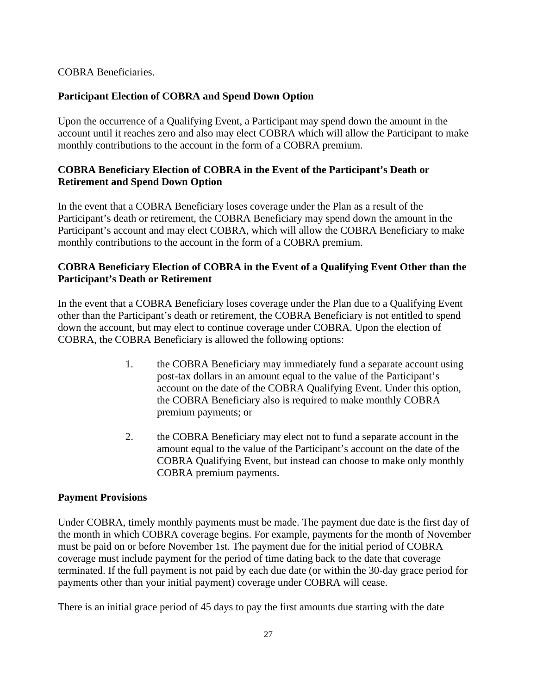## COBRA Beneficiaries.

## **Participant Election of COBRA and Spend Down Option**

Upon the occurrence of a Qualifying Event, a Participant may spend down the amount in the account until it reaches zero and also may elect COBRA which will allow the Participant to make monthly contributions to the account in the form of a COBRA premium.

## **COBRA Beneficiary Election of COBRA in the Event of the Participant's Death or Retirement and Spend Down Option**

In the event that a COBRA Beneficiary loses coverage under the Plan as a result of the Participant's death or retirement, the COBRA Beneficiary may spend down the amount in the Participant's account and may elect COBRA, which will allow the COBRA Beneficiary to make monthly contributions to the account in the form of a COBRA premium.

## **COBRA Beneficiary Election of COBRA in the Event of a Qualifying Event Other than the Participant's Death or Retirement**

In the event that a COBRA Beneficiary loses coverage under the Plan due to a Qualifying Event other than the Participant's death or retirement, the COBRA Beneficiary is not entitled to spend down the account, but may elect to continue coverage under COBRA. Upon the election of COBRA, the COBRA Beneficiary is allowed the following options:

- 1. the COBRA Beneficiary may immediately fund a separate account using post-tax dollars in an amount equal to the value of the Participant's account on the date of the COBRA Qualifying Event. Under this option, the COBRA Beneficiary also is required to make monthly COBRA premium payments; or
- 2. the COBRA Beneficiary may elect not to fund a separate account in the amount equal to the value of the Participant's account on the date of the COBRA Qualifying Event, but instead can choose to make only monthly COBRA premium payments.

## **Payment Provisions**

Under COBRA, timely monthly payments must be made. The payment due date is the first day of the month in which COBRA coverage begins. For example, payments for the month of November must be paid on or before November 1st. The payment due for the initial period of COBRA coverage must include payment for the period of time dating back to the date that coverage terminated. If the full payment is not paid by each due date (or within the 30-day grace period for payments other than your initial payment) coverage under COBRA will cease.

There is an initial grace period of 45 days to pay the first amounts due starting with the date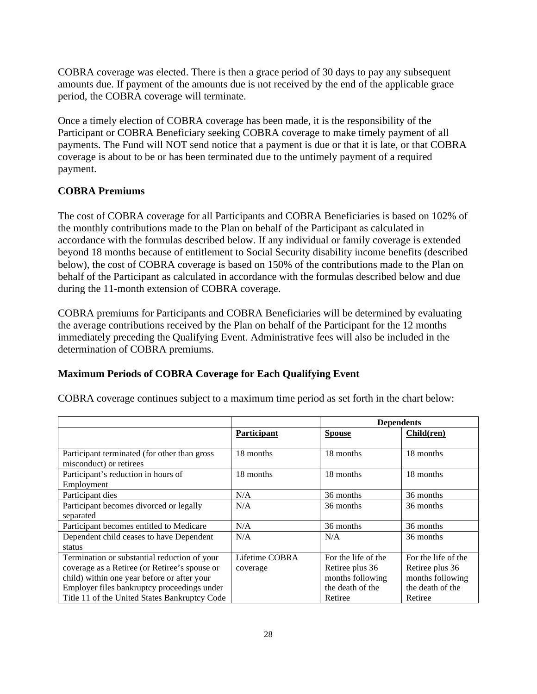COBRA coverage was elected. There is then a grace period of 30 days to pay any subsequent amounts due. If payment of the amounts due is not received by the end of the applicable grace period, the COBRA coverage will terminate.

Once a timely election of COBRA coverage has been made, it is the responsibility of the Participant or COBRA Beneficiary seeking COBRA coverage to make timely payment of all payments. The Fund will NOT send notice that a payment is due or that it is late, or that COBRA coverage is about to be or has been terminated due to the untimely payment of a required payment.

## **COBRA Premiums**

The cost of COBRA coverage for all Participants and COBRA Beneficiaries is based on 102% of the monthly contributions made to the Plan on behalf of the Participant as calculated in accordance with the formulas described below. If any individual or family coverage is extended beyond 18 months because of entitlement to Social Security disability income benefits (described below), the cost of COBRA coverage is based on 150% of the contributions made to the Plan on behalf of the Participant as calculated in accordance with the formulas described below and due during the 11-month extension of COBRA coverage.

COBRA premiums for Participants and COBRA Beneficiaries will be determined by evaluating the average contributions received by the Plan on behalf of the Participant for the 12 months immediately preceding the Qualifying Event. Administrative fees will also be included in the determination of COBRA premiums.

#### **Maximum Periods of COBRA Coverage for Each Qualifying Event**

| COBRA coverage continues subject to a maximum time period as set forth in the chart below: |  |  |  |  |  |
|--------------------------------------------------------------------------------------------|--|--|--|--|--|
|                                                                                            |  |  |  |  |  |

|                                               |                | <b>Dependents</b>   |                     |
|-----------------------------------------------|----------------|---------------------|---------------------|
|                                               | Participant    | <b>Spouse</b>       | Child(ren)          |
| Participant terminated (for other than gross  | 18 months      | 18 months           | 18 months           |
| misconduct) or retirees                       |                |                     |                     |
| Participant's reduction in hours of           | 18 months      | 18 months           | 18 months           |
| Employment                                    |                |                     |                     |
| Participant dies                              | N/A            | 36 months           | 36 months           |
| Participant becomes divorced or legally       | N/A            | 36 months           | 36 months           |
| separated                                     |                |                     |                     |
| Participant becomes entitled to Medicare      | N/A            | 36 months           | 36 months           |
| Dependent child ceases to have Dependent      | N/A            | N/A                 | 36 months           |
| status                                        |                |                     |                     |
| Termination or substantial reduction of your  | Lifetime COBRA | For the life of the | For the life of the |
| coverage as a Retiree (or Retiree's spouse or | coverage       | Retiree plus 36     | Retiree plus 36     |
| child) within one year before or after your   |                | months following    | months following    |
| Employer files bankruptcy proceedings under   |                | the death of the    | the death of the    |
| Title 11 of the United States Bankruptcy Code |                | Retiree             | Retiree             |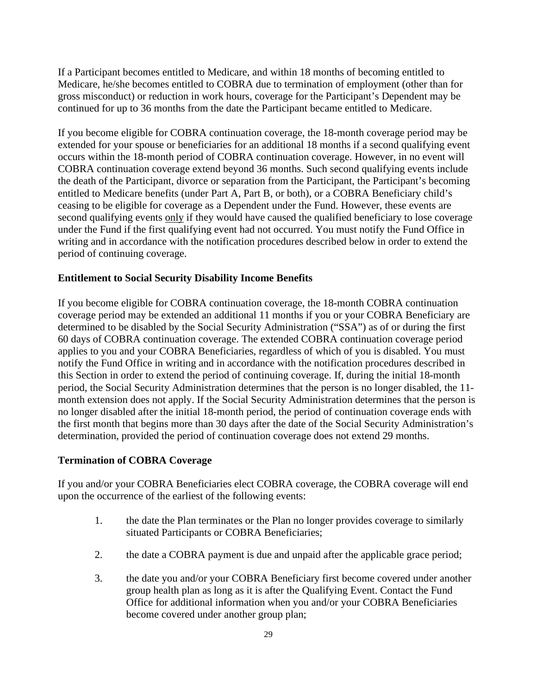If a Participant becomes entitled to Medicare, and within 18 months of becoming entitled to Medicare, he/she becomes entitled to COBRA due to termination of employment (other than for gross misconduct) or reduction in work hours, coverage for the Participant's Dependent may be continued for up to 36 months from the date the Participant became entitled to Medicare.

If you become eligible for COBRA continuation coverage, the 18-month coverage period may be extended for your spouse or beneficiaries for an additional 18 months if a second qualifying event occurs within the 18-month period of COBRA continuation coverage. However, in no event will COBRA continuation coverage extend beyond 36 months. Such second qualifying events include the death of the Participant, divorce or separation from the Participant, the Participant's becoming entitled to Medicare benefits (under Part A, Part B, or both), or a COBRA Beneficiary child's ceasing to be eligible for coverage as a Dependent under the Fund. However, these events are second qualifying events only if they would have caused the qualified beneficiary to lose coverage under the Fund if the first qualifying event had not occurred. You must notify the Fund Office in writing and in accordance with the notification procedures described below in order to extend the period of continuing coverage.

#### **Entitlement to Social Security Disability Income Benefits**

If you become eligible for COBRA continuation coverage, the 18-month COBRA continuation coverage period may be extended an additional 11 months if you or your COBRA Beneficiary are determined to be disabled by the Social Security Administration ("SSA") as of or during the first 60 days of COBRA continuation coverage. The extended COBRA continuation coverage period applies to you and your COBRA Beneficiaries, regardless of which of you is disabled. You must notify the Fund Office in writing and in accordance with the notification procedures described in this Section in order to extend the period of continuing coverage. If, during the initial 18-month period, the Social Security Administration determines that the person is no longer disabled, the 11 month extension does not apply. If the Social Security Administration determines that the person is no longer disabled after the initial 18-month period, the period of continuation coverage ends with the first month that begins more than 30 days after the date of the Social Security Administration's determination, provided the period of continuation coverage does not extend 29 months.

## **Termination of COBRA Coverage**

If you and/or your COBRA Beneficiaries elect COBRA coverage, the COBRA coverage will end upon the occurrence of the earliest of the following events:

- 1. the date the Plan terminates or the Plan no longer provides coverage to similarly situated Participants or COBRA Beneficiaries;
- 2. the date a COBRA payment is due and unpaid after the applicable grace period;
- 3. the date you and/or your COBRA Beneficiary first become covered under another group health plan as long as it is after the Qualifying Event. Contact the Fund Office for additional information when you and/or your COBRA Beneficiaries become covered under another group plan;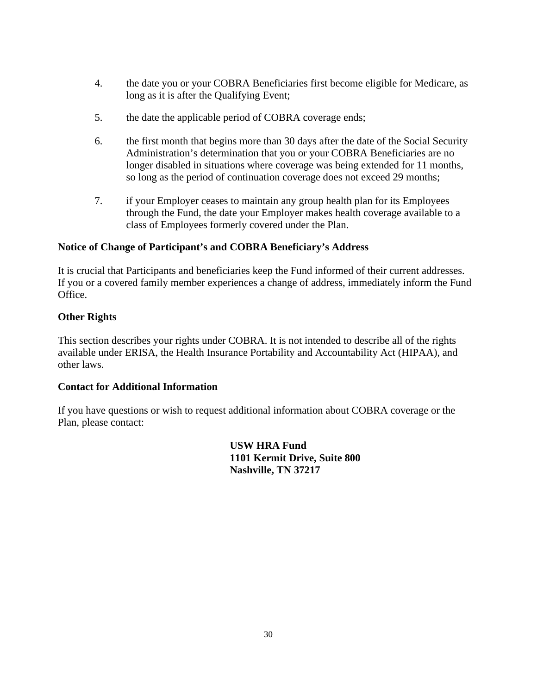- 4. the date you or your COBRA Beneficiaries first become eligible for Medicare, as long as it is after the Qualifying Event;
- 5. the date the applicable period of COBRA coverage ends;
- 6. the first month that begins more than 30 days after the date of the Social Security Administration's determination that you or your COBRA Beneficiaries are no longer disabled in situations where coverage was being extended for 11 months, so long as the period of continuation coverage does not exceed 29 months;
- 7. if your Employer ceases to maintain any group health plan for its Employees through the Fund, the date your Employer makes health coverage available to a class of Employees formerly covered under the Plan.

## **Notice of Change of Participant's and COBRA Beneficiary's Address**

It is crucial that Participants and beneficiaries keep the Fund informed of their current addresses. If you or a covered family member experiences a change of address, immediately inform the Fund Office.

## **Other Rights**

This section describes your rights under COBRA. It is not intended to describe all of the rights available under ERISA, the Health Insurance Portability and Accountability Act (HIPAA), and other laws.

## **Contact for Additional Information**

If you have questions or wish to request additional information about COBRA coverage or the Plan, please contact:

> **USW HRA Fund 1101 Kermit Drive, Suite 800 Nashville, TN 37217**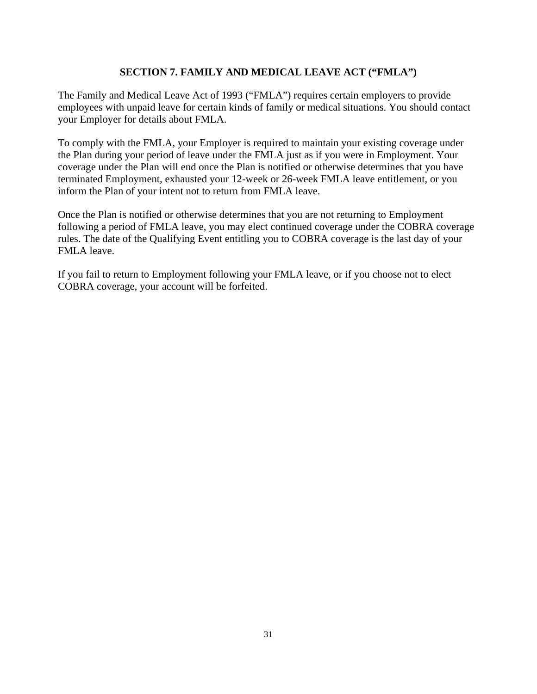## **SECTION 7. FAMILY AND MEDICAL LEAVE ACT ("FMLA")**

The Family and Medical Leave Act of 1993 ("FMLA") requires certain employers to provide employees with unpaid leave for certain kinds of family or medical situations. You should contact your Employer for details about FMLA.

To comply with the FMLA, your Employer is required to maintain your existing coverage under the Plan during your period of leave under the FMLA just as if you were in Employment. Your coverage under the Plan will end once the Plan is notified or otherwise determines that you have terminated Employment, exhausted your 12-week or 26-week FMLA leave entitlement, or you inform the Plan of your intent not to return from FMLA leave.

Once the Plan is notified or otherwise determines that you are not returning to Employment following a period of FMLA leave, you may elect continued coverage under the COBRA coverage rules. The date of the Qualifying Event entitling you to COBRA coverage is the last day of your FMLA leave.

If you fail to return to Employment following your FMLA leave, or if you choose not to elect COBRA coverage, your account will be forfeited.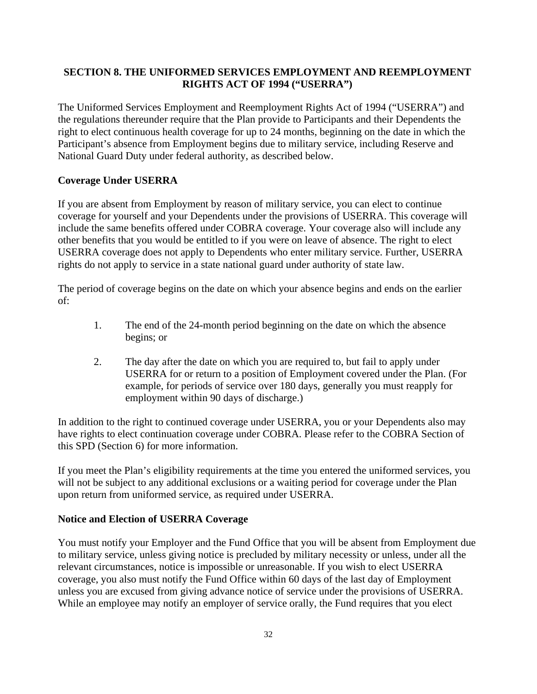## **SECTION 8. THE UNIFORMED SERVICES EMPLOYMENT AND REEMPLOYMENT RIGHTS ACT OF 1994 ("USERRA")**

The Uniformed Services Employment and Reemployment Rights Act of 1994 ("USERRA") and the regulations thereunder require that the Plan provide to Participants and their Dependents the right to elect continuous health coverage for up to 24 months, beginning on the date in which the Participant's absence from Employment begins due to military service, including Reserve and National Guard Duty under federal authority, as described below.

## **Coverage Under USERRA**

If you are absent from Employment by reason of military service, you can elect to continue coverage for yourself and your Dependents under the provisions of USERRA. This coverage will include the same benefits offered under COBRA coverage. Your coverage also will include any other benefits that you would be entitled to if you were on leave of absence. The right to elect USERRA coverage does not apply to Dependents who enter military service. Further, USERRA rights do not apply to service in a state national guard under authority of state law.

The period of coverage begins on the date on which your absence begins and ends on the earlier of:

- 1. The end of the 24-month period beginning on the date on which the absence begins; or
- 2. The day after the date on which you are required to, but fail to apply under USERRA for or return to a position of Employment covered under the Plan. (For example, for periods of service over 180 days, generally you must reapply for employment within 90 days of discharge.)

In addition to the right to continued coverage under USERRA, you or your Dependents also may have rights to elect continuation coverage under COBRA. Please refer to the COBRA Section of this SPD (Section 6) for more information.

If you meet the Plan's eligibility requirements at the time you entered the uniformed services, you will not be subject to any additional exclusions or a waiting period for coverage under the Plan upon return from uniformed service, as required under USERRA.

## **Notice and Election of USERRA Coverage**

You must notify your Employer and the Fund Office that you will be absent from Employment due to military service, unless giving notice is precluded by military necessity or unless, under all the relevant circumstances, notice is impossible or unreasonable. If you wish to elect USERRA coverage, you also must notify the Fund Office within 60 days of the last day of Employment unless you are excused from giving advance notice of service under the provisions of USERRA. While an employee may notify an employer of service orally, the Fund requires that you elect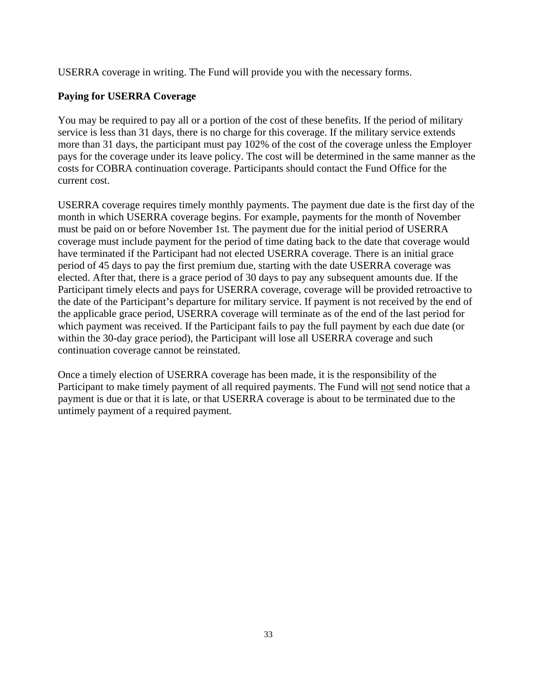USERRA coverage in writing. The Fund will provide you with the necessary forms.

## **Paying for USERRA Coverage**

You may be required to pay all or a portion of the cost of these benefits. If the period of military service is less than 31 days, there is no charge for this coverage. If the military service extends more than 31 days, the participant must pay 102% of the cost of the coverage unless the Employer pays for the coverage under its leave policy. The cost will be determined in the same manner as the costs for COBRA continuation coverage. Participants should contact the Fund Office for the current cost.

USERRA coverage requires timely monthly payments. The payment due date is the first day of the month in which USERRA coverage begins. For example, payments for the month of November must be paid on or before November 1st. The payment due for the initial period of USERRA coverage must include payment for the period of time dating back to the date that coverage would have terminated if the Participant had not elected USERRA coverage. There is an initial grace period of 45 days to pay the first premium due, starting with the date USERRA coverage was elected. After that, there is a grace period of 30 days to pay any subsequent amounts due. If the Participant timely elects and pays for USERRA coverage, coverage will be provided retroactive to the date of the Participant's departure for military service. If payment is not received by the end of the applicable grace period, USERRA coverage will terminate as of the end of the last period for which payment was received. If the Participant fails to pay the full payment by each due date (or within the 30-day grace period), the Participant will lose all USERRA coverage and such continuation coverage cannot be reinstated.

Once a timely election of USERRA coverage has been made, it is the responsibility of the Participant to make timely payment of all required payments. The Fund will not send notice that a payment is due or that it is late, or that USERRA coverage is about to be terminated due to the untimely payment of a required payment.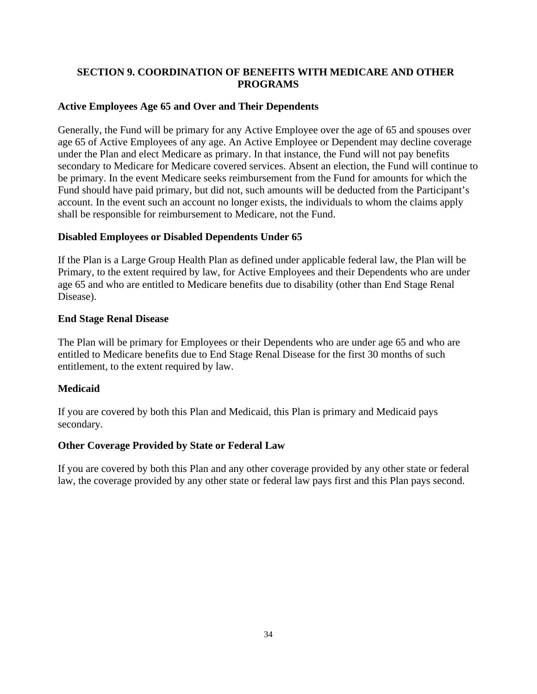## **SECTION 9. COORDINATION OF BENEFITS WITH MEDICARE AND OTHER PROGRAMS**

## **Active Employees Age 65 and Over and Their Dependents**

Generally, the Fund will be primary for any Active Employee over the age of 65 and spouses over age 65 of Active Employees of any age. An Active Employee or Dependent may decline coverage under the Plan and elect Medicare as primary. In that instance, the Fund will not pay benefits secondary to Medicare for Medicare covered services. Absent an election, the Fund will continue to be primary. In the event Medicare seeks reimbursement from the Fund for amounts for which the Fund should have paid primary, but did not, such amounts will be deducted from the Participant's account. In the event such an account no longer exists, the individuals to whom the claims apply shall be responsible for reimbursement to Medicare, not the Fund.

#### **Disabled Employees or Disabled Dependents Under 65**

If the Plan is a Large Group Health Plan as defined under applicable federal law, the Plan will be Primary, to the extent required by law, for Active Employees and their Dependents who are under age 65 and who are entitled to Medicare benefits due to disability (other than End Stage Renal Disease).

#### **End Stage Renal Disease**

The Plan will be primary for Employees or their Dependents who are under age 65 and who are entitled to Medicare benefits due to End Stage Renal Disease for the first 30 months of such entitlement, to the extent required by law.

## **Medicaid**

If you are covered by both this Plan and Medicaid, this Plan is primary and Medicaid pays secondary.

## **Other Coverage Provided by State or Federal Law**

If you are covered by both this Plan and any other coverage provided by any other state or federal law, the coverage provided by any other state or federal law pays first and this Plan pays second.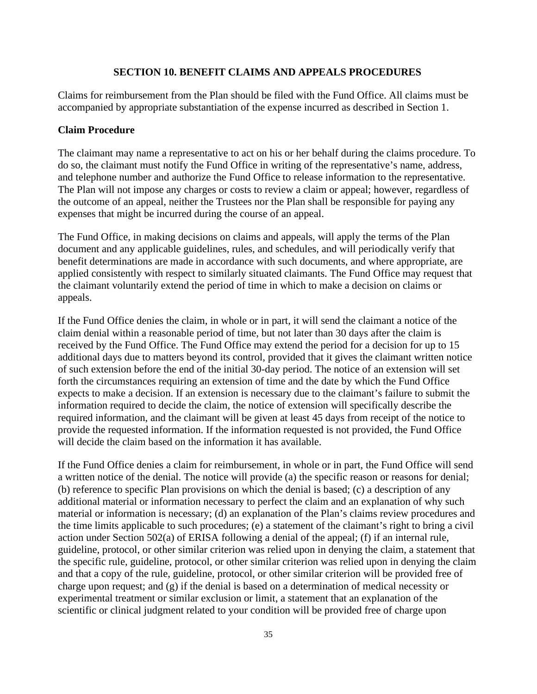#### **SECTION 10. BENEFIT CLAIMS AND APPEALS PROCEDURES**

Claims for reimbursement from the Plan should be filed with the Fund Office. All claims must be accompanied by appropriate substantiation of the expense incurred as described in Section 1.

#### **Claim Procedure**

The claimant may name a representative to act on his or her behalf during the claims procedure. To do so, the claimant must notify the Fund Office in writing of the representative's name, address, and telephone number and authorize the Fund Office to release information to the representative. The Plan will not impose any charges or costs to review a claim or appeal; however, regardless of the outcome of an appeal, neither the Trustees nor the Plan shall be responsible for paying any expenses that might be incurred during the course of an appeal.

The Fund Office, in making decisions on claims and appeals, will apply the terms of the Plan document and any applicable guidelines, rules, and schedules, and will periodically verify that benefit determinations are made in accordance with such documents, and where appropriate, are applied consistently with respect to similarly situated claimants. The Fund Office may request that the claimant voluntarily extend the period of time in which to make a decision on claims or appeals.

If the Fund Office denies the claim, in whole or in part, it will send the claimant a notice of the claim denial within a reasonable period of time, but not later than 30 days after the claim is received by the Fund Office. The Fund Office may extend the period for a decision for up to 15 additional days due to matters beyond its control, provided that it gives the claimant written notice of such extension before the end of the initial 30-day period. The notice of an extension will set forth the circumstances requiring an extension of time and the date by which the Fund Office expects to make a decision. If an extension is necessary due to the claimant's failure to submit the information required to decide the claim, the notice of extension will specifically describe the required information, and the claimant will be given at least 45 days from receipt of the notice to provide the requested information. If the information requested is not provided, the Fund Office will decide the claim based on the information it has available.

If the Fund Office denies a claim for reimbursement, in whole or in part, the Fund Office will send a written notice of the denial. The notice will provide (a) the specific reason or reasons for denial; (b) reference to specific Plan provisions on which the denial is based; (c) a description of any additional material or information necessary to perfect the claim and an explanation of why such material or information is necessary; (d) an explanation of the Plan's claims review procedures and the time limits applicable to such procedures; (e) a statement of the claimant's right to bring a civil action under Section 502(a) of ERISA following a denial of the appeal; (f) if an internal rule, guideline, protocol, or other similar criterion was relied upon in denying the claim, a statement that the specific rule, guideline, protocol, or other similar criterion was relied upon in denying the claim and that a copy of the rule, guideline, protocol, or other similar criterion will be provided free of charge upon request; and  $(g)$  if the denial is based on a determination of medical necessity or experimental treatment or similar exclusion or limit, a statement that an explanation of the scientific or clinical judgment related to your condition will be provided free of charge upon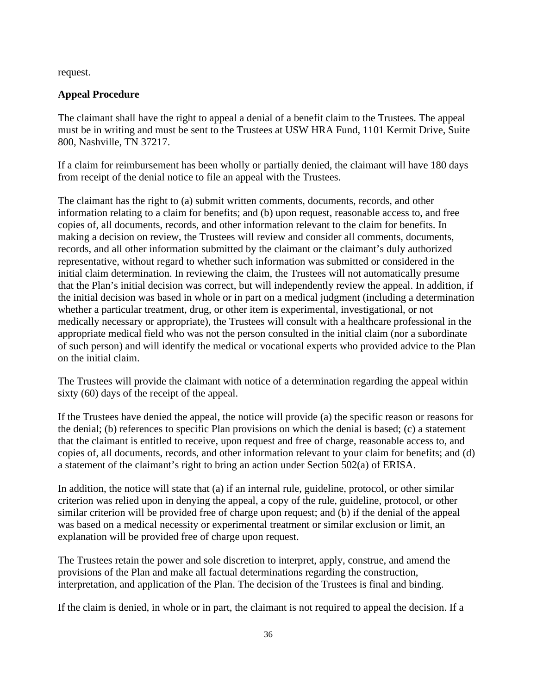request.

#### **Appeal Procedure**

The claimant shall have the right to appeal a denial of a benefit claim to the Trustees. The appeal must be in writing and must be sent to the Trustees at USW HRA Fund, 1101 Kermit Drive, Suite 800, Nashville, TN 37217.

If a claim for reimbursement has been wholly or partially denied, the claimant will have 180 days from receipt of the denial notice to file an appeal with the Trustees.

The claimant has the right to (a) submit written comments, documents, records, and other information relating to a claim for benefits; and (b) upon request, reasonable access to, and free copies of, all documents, records, and other information relevant to the claim for benefits. In making a decision on review, the Trustees will review and consider all comments, documents, records, and all other information submitted by the claimant or the claimant's duly authorized representative, without regard to whether such information was submitted or considered in the initial claim determination. In reviewing the claim, the Trustees will not automatically presume that the Plan's initial decision was correct, but will independently review the appeal. In addition, if the initial decision was based in whole or in part on a medical judgment (including a determination whether a particular treatment, drug, or other item is experimental, investigational, or not medically necessary or appropriate), the Trustees will consult with a healthcare professional in the appropriate medical field who was not the person consulted in the initial claim (nor a subordinate of such person) and will identify the medical or vocational experts who provided advice to the Plan on the initial claim.

The Trustees will provide the claimant with notice of a determination regarding the appeal within sixty (60) days of the receipt of the appeal.

If the Trustees have denied the appeal, the notice will provide (a) the specific reason or reasons for the denial; (b) references to specific Plan provisions on which the denial is based; (c) a statement that the claimant is entitled to receive, upon request and free of charge, reasonable access to, and copies of, all documents, records, and other information relevant to your claim for benefits; and (d) a statement of the claimant's right to bring an action under Section 502(a) of ERISA.

In addition, the notice will state that (a) if an internal rule, guideline, protocol, or other similar criterion was relied upon in denying the appeal, a copy of the rule, guideline, protocol, or other similar criterion will be provided free of charge upon request; and (b) if the denial of the appeal was based on a medical necessity or experimental treatment or similar exclusion or limit, an explanation will be provided free of charge upon request.

The Trustees retain the power and sole discretion to interpret, apply, construe, and amend the provisions of the Plan and make all factual determinations regarding the construction, interpretation, and application of the Plan. The decision of the Trustees is final and binding.

If the claim is denied, in whole or in part, the claimant is not required to appeal the decision. If a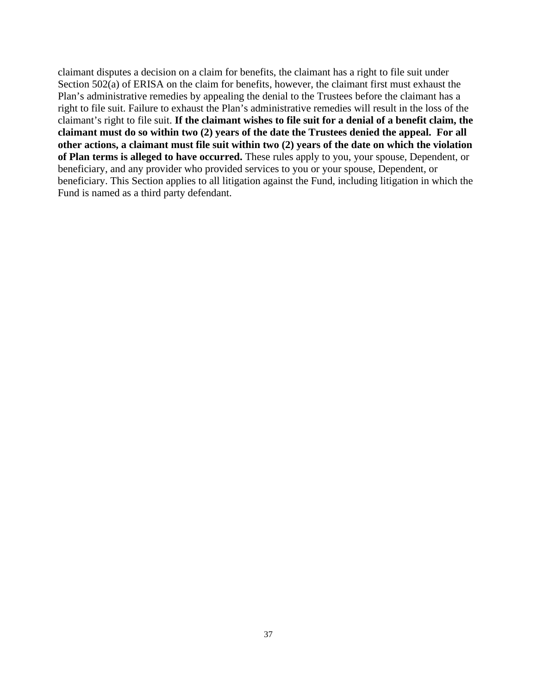claimant disputes a decision on a claim for benefits, the claimant has a right to file suit under Section 502(a) of ERISA on the claim for benefits, however, the claimant first must exhaust the Plan's administrative remedies by appealing the denial to the Trustees before the claimant has a right to file suit. Failure to exhaust the Plan's administrative remedies will result in the loss of the claimant's right to file suit. **If the claimant wishes to file suit for a denial of a benefit claim, the claimant must do so within two (2) years of the date the Trustees denied the appeal. For all other actions, a claimant must file suit within two (2) years of the date on which the violation of Plan terms is alleged to have occurred.** These rules apply to you, your spouse, Dependent, or beneficiary, and any provider who provided services to you or your spouse, Dependent, or beneficiary. This Section applies to all litigation against the Fund, including litigation in which the Fund is named as a third party defendant.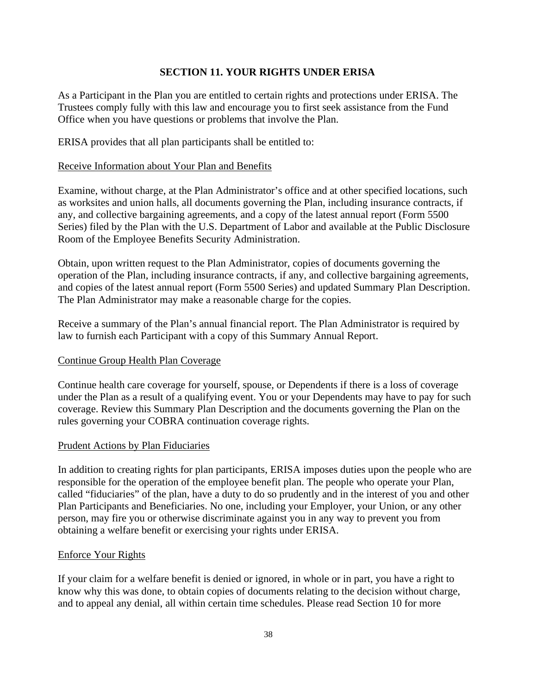## **SECTION 11. YOUR RIGHTS UNDER ERISA**

As a Participant in the Plan you are entitled to certain rights and protections under ERISA. The Trustees comply fully with this law and encourage you to first seek assistance from the Fund Office when you have questions or problems that involve the Plan.

ERISA provides that all plan participants shall be entitled to:

#### Receive Information about Your Plan and Benefits

Examine, without charge, at the Plan Administrator's office and at other specified locations, such as worksites and union halls, all documents governing the Plan, including insurance contracts, if any, and collective bargaining agreements, and a copy of the latest annual report (Form 5500 Series) filed by the Plan with the U.S. Department of Labor and available at the Public Disclosure Room of the Employee Benefits Security Administration.

Obtain, upon written request to the Plan Administrator, copies of documents governing the operation of the Plan, including insurance contracts, if any, and collective bargaining agreements, and copies of the latest annual report (Form 5500 Series) and updated Summary Plan Description. The Plan Administrator may make a reasonable charge for the copies.

Receive a summary of the Plan's annual financial report. The Plan Administrator is required by law to furnish each Participant with a copy of this Summary Annual Report.

#### Continue Group Health Plan Coverage

Continue health care coverage for yourself, spouse, or Dependents if there is a loss of coverage under the Plan as a result of a qualifying event. You or your Dependents may have to pay for such coverage. Review this Summary Plan Description and the documents governing the Plan on the rules governing your COBRA continuation coverage rights.

#### Prudent Actions by Plan Fiduciaries

In addition to creating rights for plan participants, ERISA imposes duties upon the people who are responsible for the operation of the employee benefit plan. The people who operate your Plan, called "fiduciaries" of the plan, have a duty to do so prudently and in the interest of you and other Plan Participants and Beneficiaries. No one, including your Employer, your Union, or any other person, may fire you or otherwise discriminate against you in any way to prevent you from obtaining a welfare benefit or exercising your rights under ERISA.

#### Enforce Your Rights

If your claim for a welfare benefit is denied or ignored, in whole or in part, you have a right to know why this was done, to obtain copies of documents relating to the decision without charge, and to appeal any denial, all within certain time schedules. Please read Section 10 for more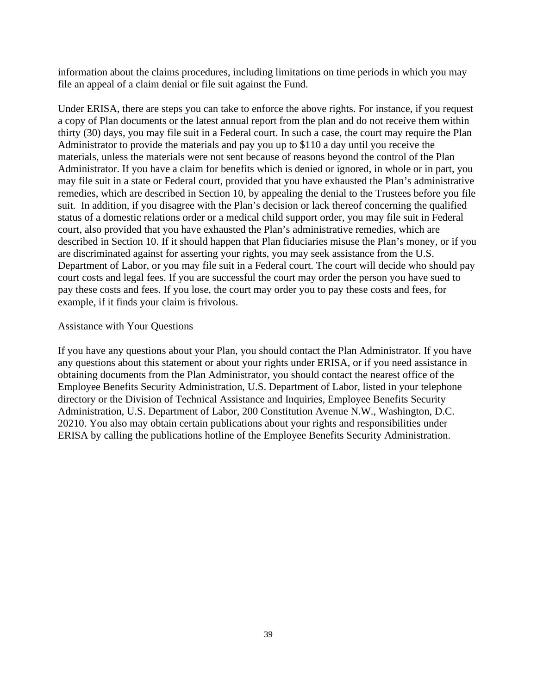information about the claims procedures, including limitations on time periods in which you may file an appeal of a claim denial or file suit against the Fund.

Under ERISA, there are steps you can take to enforce the above rights. For instance, if you request a copy of Plan documents or the latest annual report from the plan and do not receive them within thirty (30) days, you may file suit in a Federal court. In such a case, the court may require the Plan Administrator to provide the materials and pay you up to \$110 a day until you receive the materials, unless the materials were not sent because of reasons beyond the control of the Plan Administrator. If you have a claim for benefits which is denied or ignored, in whole or in part, you may file suit in a state or Federal court, provided that you have exhausted the Plan's administrative remedies, which are described in Section 10, by appealing the denial to the Trustees before you file suit. In addition, if you disagree with the Plan's decision or lack thereof concerning the qualified status of a domestic relations order or a medical child support order, you may file suit in Federal court, also provided that you have exhausted the Plan's administrative remedies, which are described in Section 10. If it should happen that Plan fiduciaries misuse the Plan's money, or if you are discriminated against for asserting your rights, you may seek assistance from the U.S. Department of Labor, or you may file suit in a Federal court. The court will decide who should pay court costs and legal fees. If you are successful the court may order the person you have sued to pay these costs and fees. If you lose, the court may order you to pay these costs and fees, for example, if it finds your claim is frivolous.

#### Assistance with Your Questions

If you have any questions about your Plan, you should contact the Plan Administrator. If you have any questions about this statement or about your rights under ERISA, or if you need assistance in obtaining documents from the Plan Administrator, you should contact the nearest office of the Employee Benefits Security Administration, U.S. Department of Labor, listed in your telephone directory or the Division of Technical Assistance and Inquiries, Employee Benefits Security Administration, U.S. Department of Labor, 200 Constitution Avenue N.W., Washington, D.C. 20210. You also may obtain certain publications about your rights and responsibilities under ERISA by calling the publications hotline of the Employee Benefits Security Administration.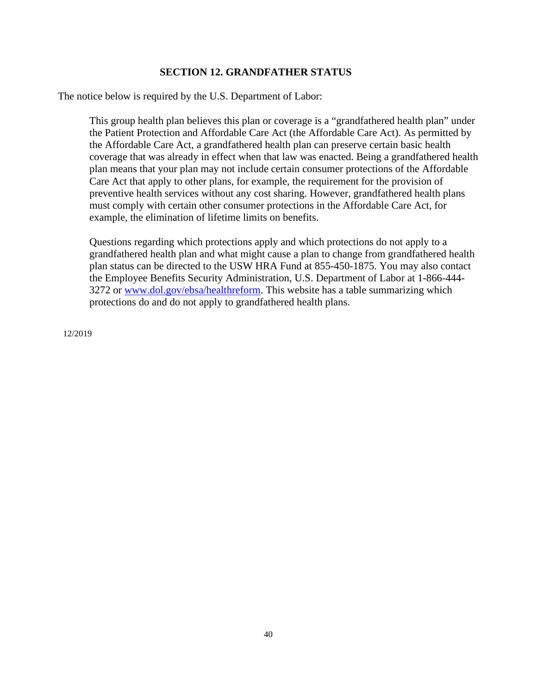## **SECTION 12. GRANDFATHER STATUS**

The notice below is required by the U.S. Department of Labor:

This group health plan believes this plan or coverage is a "grandfathered health plan" under the Patient Protection and Affordable Care Act (the Affordable Care Act). As permitted by the Affordable Care Act, a grandfathered health plan can preserve certain basic health coverage that was already in effect when that law was enacted. Being a grandfathered health plan means that your plan may not include certain consumer protections of the Affordable Care Act that apply to other plans, for example, the requirement for the provision of preventive health services without any cost sharing. However, grandfathered health plans must comply with certain other consumer protections in the Affordable Care Act, for example, the elimination of lifetime limits on benefits.

Questions regarding which protections apply and which protections do not apply to a grandfathered health plan and what might cause a plan to change from grandfathered health plan status can be directed to the USW HRA Fund at 855-450-1875. You may also contact the Employee Benefits Security Administration, U.S. Department of Labor at 1-866-444- 3272 or [www.dol.gov/ebsa/healthreform.](http://www.dol.gov/ebsa/healthreform) This website has a table summarizing which protections do and do not apply to grandfathered health plans.

12/2019